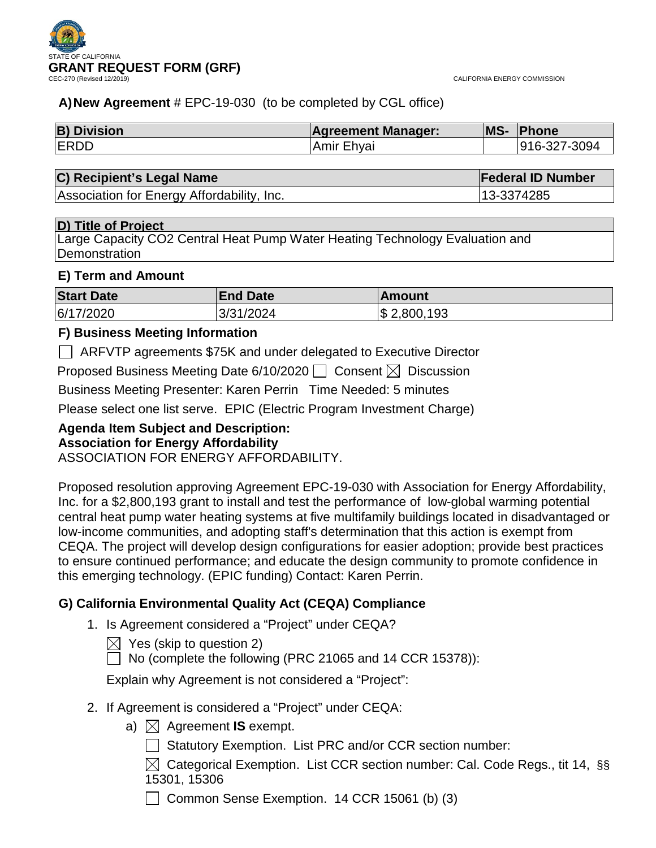

# **A)New Agreement** # EPC-19-030 (to be completed by CGL office)

| <b>B) Division</b> | <b>Agreement Manager:</b> | <b>MS-</b> | <b>Phone</b> |
|--------------------|---------------------------|------------|--------------|
| <b>ERDD</b>        | ∣Amir Ehyai               |            | 916-327-3094 |

# **C) Recipient's Legal Name Federal ID Number**

Association for Energy Affordability, Inc. 13-3374285

# **D) Title of Project**

Large Capacity CO2 Central Heat Pump Water Heating Technology Evaluation and **Demonstration** 

# **E) Term and Amount**

| <b>Start Date</b> | <b>End Date</b> | ∣Amount         |
|-------------------|-----------------|-----------------|
| 6/17/2020         | 3/31/2024       | $\$\,2,800,193$ |

# **F) Business Meeting Information**

ARFVTP agreements \$75K and under delegated to Executive Director

Proposed Business Meeting Date 6/10/2020  $\Box$  Consent  $\boxtimes$  Discussion

Business Meeting Presenter: Karen Perrin Time Needed: 5 minutes

Please select one list serve. EPIC (Electric Program Investment Charge)

# **Agenda Item Subject and Description:**

# **Association for Energy Affordability**

ASSOCIATION FOR ENERGY AFFORDABILITY.

Proposed resolution approving Agreement EPC-19-030 with Association for Energy Affordability, Inc. for a \$2,800,193 grant to install and test the performance of low-global warming potential central heat pump water heating systems at five multifamily buildings located in disadvantaged or low-income communities, and adopting staff's determination that this action is exempt from CEQA. The project will develop design configurations for easier adoption; provide best practices to ensure continued performance; and educate the design community to promote confidence in this emerging technology. (EPIC funding) Contact: Karen Perrin.

# **G) California Environmental Quality Act (CEQA) Compliance**

- 1. Is Agreement considered a "Project" under CEQA?
	- $\boxtimes$  Yes (skip to question 2)

 $\Box$  No (complete the following (PRC 21065 and 14 CCR 15378)):

Explain why Agreement is not considered a "Project":

- 2. If Agreement is considered a "Project" under CEQA:
	- a)  $\boxtimes$  Agreement **IS** exempt.
		- | Statutory Exemption. List PRC and/or CCR section number:
		- $\boxtimes$  Categorical Exemption. List CCR section number: Cal. Code Regs., tit 14, §§ 15301, 15306

 $\Box$  Common Sense Exemption. 14 CCR 15061 (b) (3)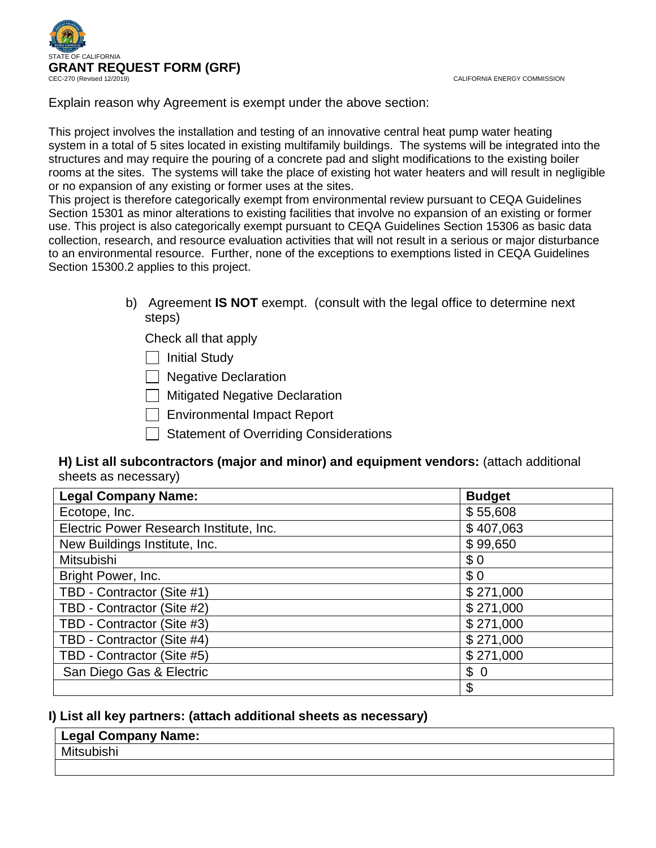

CALIFORNIA ENERGY COMMISSION

Explain reason why Agreement is exempt under the above section:

This project involves the installation and testing of an innovative central heat pump water heating system in a total of 5 sites located in existing multifamily buildings. The systems will be integrated into the structures and may require the pouring of a concrete pad and slight modifications to the existing boiler rooms at the sites. The systems will take the place of existing hot water heaters and will result in negligible or no expansion of any existing or former uses at the sites.

This project is therefore categorically exempt from environmental review pursuant to CEQA Guidelines Section 15301 as minor alterations to existing facilities that involve no expansion of an existing or former use. This project is also categorically exempt pursuant to CEQA Guidelines Section 15306 as basic data collection, research, and resource evaluation activities that will not result in a serious or major disturbance to an environmental resource. Further, none of the exceptions to exemptions listed in CEQA Guidelines Section 15300.2 applies to this project.

> b) Agreement **IS NOT** exempt. (consult with the legal office to determine next steps)

Check all that apply

| | Initial Study

**Negative Declaration** 

 $\Box$  Mitigated Negative Declaration

Environmental Impact Report

| Statement of Overriding Considerations

# **H) List all subcontractors (major and minor) and equipment vendors:** (attach additional sheets as necessary)

| <b>Legal Company Name:</b>              | <b>Budget</b> |
|-----------------------------------------|---------------|
| Ecotope, Inc.                           | \$55,608      |
| Electric Power Research Institute, Inc. | \$407,063     |
| New Buildings Institute, Inc.           | \$99,650      |
| Mitsubishi                              | \$0           |
| Bright Power, Inc.                      | \$0           |
| TBD - Contractor (Site #1)              | \$271,000     |
| TBD - Contractor (Site #2)              | \$271,000     |
| TBD - Contractor (Site #3)              | \$271,000     |
| TBD - Contractor (Site #4)              | \$271,000     |
| TBD - Contractor (Site #5)              | \$271,000     |
| San Diego Gas & Electric                | \$0           |
|                                         | \$            |

# **I) List all key partners: (attach additional sheets as necessary)**

# **Legal Company Name:**

# **Mitsubishi**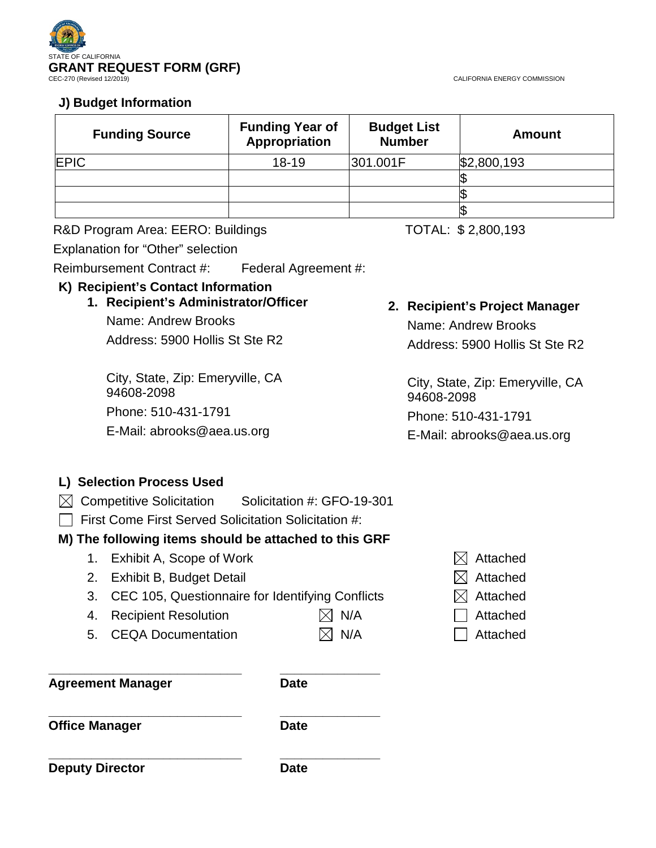

CALIFORNIA ENERGY COMMISSION

# **J) Budget Information**

| <b>Funding Source</b> | <b>Funding Year of</b><br>Appropriation | <b>Budget List</b><br><b>Number</b> | <b>Amount</b> |
|-----------------------|-----------------------------------------|-------------------------------------|---------------|
| <b>EPIC</b>           | $18 - 19$                               | 301.001F                            | \$2,800,193   |
|                       |                                         |                                     |               |
|                       |                                         |                                     | Æ             |
|                       |                                         |                                     | S             |

R&D Program Area: EERO: Buildings TOTAL: \$2,800,193

Explanation for "Other" selection

Reimbursement Contract #: Federal Agreement #:

# **K) Recipient's Contact Information**

**1. Recipient's Administrator/Officer** Name: Andrew Brooks Address: 5900 Hollis St Ste R2

City, State, Zip: Emeryville, CA 94608-2098 Phone: 510-431-1791 E-Mail: abrooks@aea.us.org

# **2. Recipient's Project Manager**

Name: Andrew Brooks Address: 5900 Hollis St Ste R2

City, State, Zip: Emeryville, CA 94608-2098

Phone: 510-431-1791

E-Mail: abrooks@aea.us.org

# **L) Selection Process Used**

- $\boxtimes$  Competitive Solicitation Solicitation #: GFO-19-301
- $\Box$  First Come First Served Solicitation Solicitation #:

# **M) The following items should be attached to this GRF**

- 1. Exhibit A, Scope of Work  $\boxtimes$  Attached
- 2. Exhibit B, Budget Detail  $\boxtimes$  Attached
- 3. CEC 105, Questionnaire for Identifying Conflicts  $\boxtimes$  Attached
- 4. Recipient Resolution  $\boxtimes$  N/A  $\Box$  Attached
- 5. CEQA Documentation  $\boxtimes$  N/A  $\Box$  Attached

**\_\_\_\_\_\_\_\_\_\_\_\_\_\_\_\_\_\_\_\_\_\_\_\_\_\_\_ \_\_\_\_\_\_\_\_\_\_\_\_\_\_ Agreement Manager Date**

**\_\_\_\_\_\_\_\_\_\_\_\_\_\_\_\_\_\_\_\_\_\_\_\_\_\_\_ \_\_\_\_\_\_\_\_\_\_\_\_\_\_ Office Manager Date** 

**Deputy Director Date** 

**\_\_\_\_\_\_\_\_\_\_\_\_\_\_\_\_\_\_\_\_\_\_\_\_\_\_\_ \_\_\_\_\_\_\_\_\_\_\_\_\_\_**

- 
- 
- 
- 
-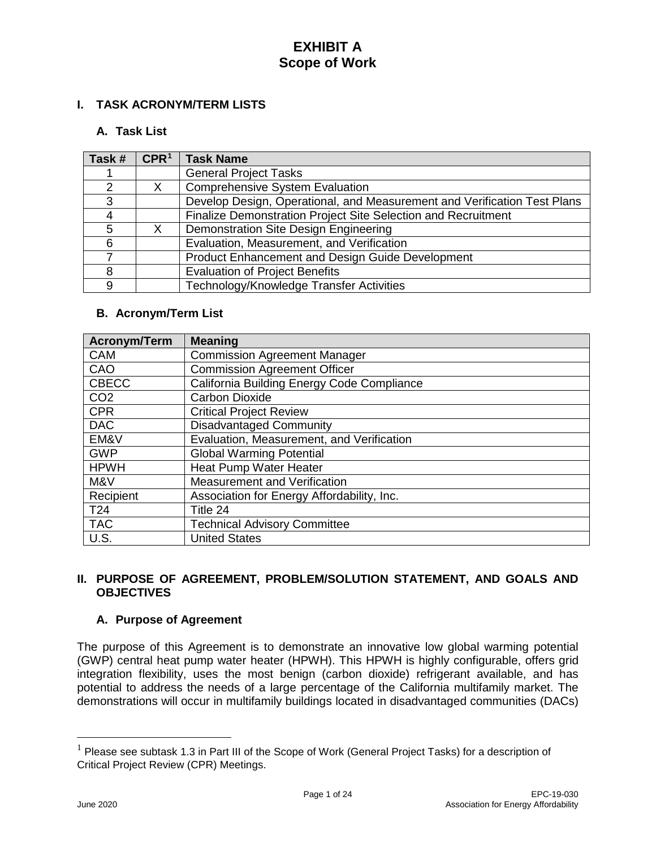### **I. TASK ACRONYM/TERM LISTS**

# **A. Task List**

| Task #        | CPR <sup>1</sup> | <b>Task Name</b>                                                         |
|---------------|------------------|--------------------------------------------------------------------------|
|               |                  | <b>General Project Tasks</b>                                             |
| $\mathcal{P}$ |                  | Comprehensive System Evaluation                                          |
| 3             |                  | Develop Design, Operational, and Measurement and Verification Test Plans |
|               |                  | Finalize Demonstration Project Site Selection and Recruitment            |
| 5             |                  | Demonstration Site Design Engineering                                    |
| 6             |                  | Evaluation, Measurement, and Verification                                |
|               |                  | Product Enhancement and Design Guide Development                         |
| 8             |                  | <b>Evaluation of Project Benefits</b>                                    |
| 9             |                  | Technology/Knowledge Transfer Activities                                 |

### **B. Acronym/Term List**

| <b>Acronym/Term</b> | <b>Meaning</b>                             |
|---------------------|--------------------------------------------|
| <b>CAM</b>          | <b>Commission Agreement Manager</b>        |
| CAO                 | <b>Commission Agreement Officer</b>        |
| <b>CBECC</b>        | California Building Energy Code Compliance |
| CO <sub>2</sub>     | <b>Carbon Dioxide</b>                      |
| <b>CPR</b>          | <b>Critical Project Review</b>             |
| <b>DAC</b>          | <b>Disadvantaged Community</b>             |
| EM&V                | Evaluation, Measurement, and Verification  |
| <b>GWP</b>          | <b>Global Warming Potential</b>            |
| <b>HPWH</b>         | Heat Pump Water Heater                     |
| M&V                 | <b>Measurement and Verification</b>        |
| Recipient           | Association for Energy Affordability, Inc. |
| T <sub>24</sub>     | Title 24                                   |
| <b>TAC</b>          | <b>Technical Advisory Committee</b>        |
| U.S.                | <b>United States</b>                       |

# **II. PURPOSE OF AGREEMENT, PROBLEM/SOLUTION STATEMENT, AND GOALS AND OBJECTIVES**

#### **A. Purpose of Agreement**

The purpose of this Agreement is to demonstrate an innovative low global warming potential (GWP) central heat pump water heater (HPWH). This HPWH is highly configurable, offers grid integration flexibility, uses the most benign (carbon dioxide) refrigerant available, and has potential to address the needs of a large percentage of the California multifamily market. The demonstrations will occur in multifamily buildings located in disadvantaged communities (DACs)

<span id="page-3-0"></span> $1$  Please see subtask 1.3 in Part III of the Scope of Work (General Project Tasks) for a description of Critical Project Review (CPR) Meetings.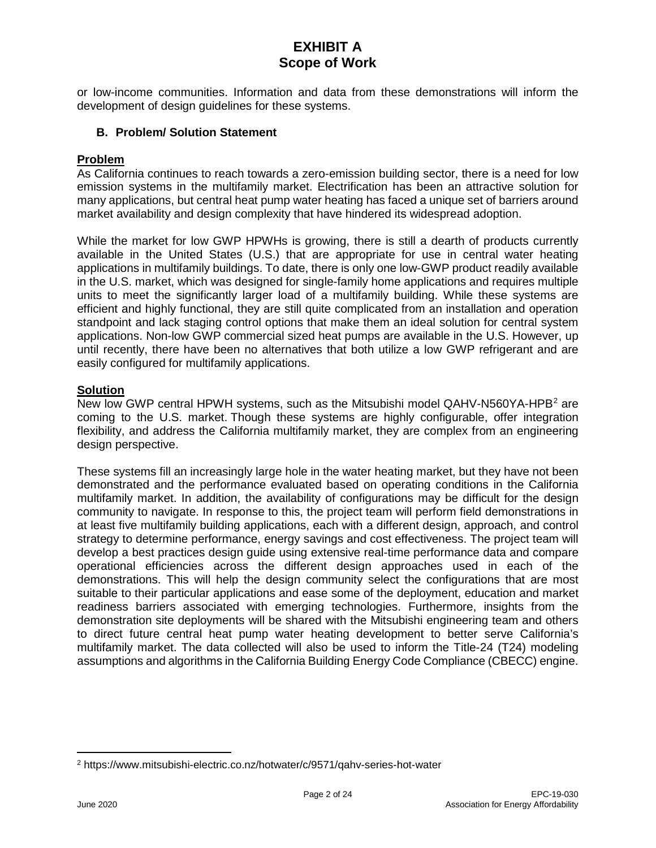or low-income communities. Information and data from these demonstrations will inform the development of design guidelines for these systems.

### **B. Problem/ Solution Statement**

#### **Problem**

As California continues to reach towards a zero-emission building sector, there is a need for low emission systems in the multifamily market. Electrification has been an attractive solution for many applications, but central heat pump water heating has faced a unique set of barriers around market availability and design complexity that have hindered its widespread adoption.

While the market for low GWP HPWHs is growing, there is still a dearth of products currently available in the United States (U.S.) that are appropriate for use in central water heating applications in multifamily buildings. To date, there is only one low-GWP product readily available in the U.S. market, which was designed for single-family home applications and requires multiple units to meet the significantly larger load of a multifamily building. While these systems are efficient and highly functional, they are still quite complicated from an installation and operation standpoint and lack staging control options that make them an ideal solution for central system applications. Non-low GWP commercial sized heat pumps are available in the U.S. However, up until recently, there have been no alternatives that both utilize a low GWP refrigerant and are easily configured for multifamily applications.

### **Solution**

New low GWP central HPWH systems, such as the Mitsubishi model QAHV-N560YA-HPB<sup>[2](#page-4-0)</sup> are coming to the U.S. market. Though these systems are highly configurable, offer integration flexibility, and address the California multifamily market, they are complex from an engineering design perspective.

These systems fill an increasingly large hole in the water heating market, but they have not been demonstrated and the performance evaluated based on operating conditions in the California multifamily market. In addition, the availability of configurations may be difficult for the design community to navigate. In response to this, the project team will perform field demonstrations in at least five multifamily building applications, each with a different design, approach, and control strategy to determine performance, energy savings and cost effectiveness. The project team will develop a best practices design guide using extensive real-time performance data and compare operational efficiencies across the different design approaches used in each of the demonstrations. This will help the design community select the configurations that are most suitable to their particular applications and ease some of the deployment, education and market readiness barriers associated with emerging technologies. Furthermore, insights from the demonstration site deployments will be shared with the Mitsubishi engineering team and others to direct future central heat pump water heating development to better serve California's multifamily market. The data collected will also be used to inform the Title-24 (T24) modeling assumptions and algorithms in the California Building Energy Code Compliance (CBECC) engine.

<span id="page-4-0"></span><sup>2</sup> https://www.mitsubishi-electric.co.nz/hotwater/c/9571/qahv-series-hot-water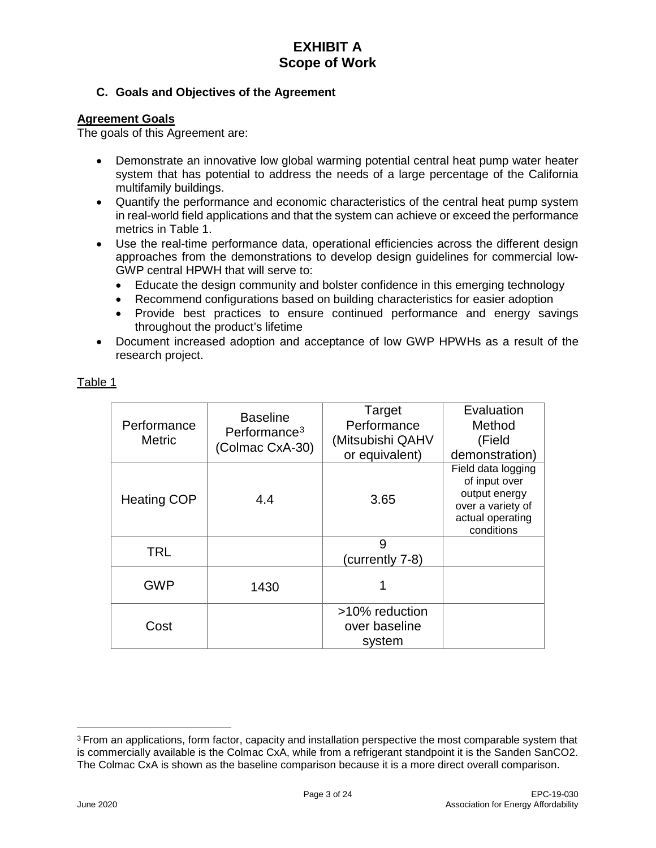# **C. Goals and Objectives of the Agreement**

# **Agreement Goals**

The goals of this Agreement are:

- Demonstrate an innovative low global warming potential central heat pump water heater system that has potential to address the needs of a large percentage of the California multifamily buildings.
- Quantify the performance and economic characteristics of the central heat pump system in real-world field applications and that the system can achieve or exceed the performance metrics in Table 1.
- Use the real-time performance data, operational efficiencies across the different design approaches from the demonstrations to develop design guidelines for commercial low-GWP central HPWH that will serve to:
	- Educate the design community and bolster confidence in this emerging technology
	- Recommend configurations based on building characteristics for easier adoption
	- Provide best practices to ensure continued performance and energy savings throughout the product's lifetime
- Document increased adoption and acceptance of low GWP HPWHs as a result of the research project.

| Performance<br><b>Metric</b> | <b>Baseline</b><br>Performance <sup>3</sup><br>(Colmac CxA-30) | Target<br>Performance<br>(Mitsubishi QAHV<br>or equivalent) | Evaluation<br>Method<br>(Field<br>demonstration)                                                            |
|------------------------------|----------------------------------------------------------------|-------------------------------------------------------------|-------------------------------------------------------------------------------------------------------------|
| <b>Heating COP</b>           | 4.4                                                            | 3.65                                                        | Field data logging<br>of input over<br>output energy<br>over a variety of<br>actual operating<br>conditions |
| <b>TRL</b>                   |                                                                | 9<br>(currently 7-8)                                        |                                                                                                             |
| <b>GWP</b>                   | 1430                                                           |                                                             |                                                                                                             |
| Cost                         |                                                                | >10% reduction<br>over baseline<br>system                   |                                                                                                             |

Table 1

<span id="page-5-0"></span><sup>3</sup> From an applications, form factor, capacity and installation perspective the most comparable system that is commercially available is the Colmac CxA, while from a refrigerant standpoint it is the Sanden SanCO2. The Colmac CxA is shown as the baseline comparison because it is a more direct overall comparison.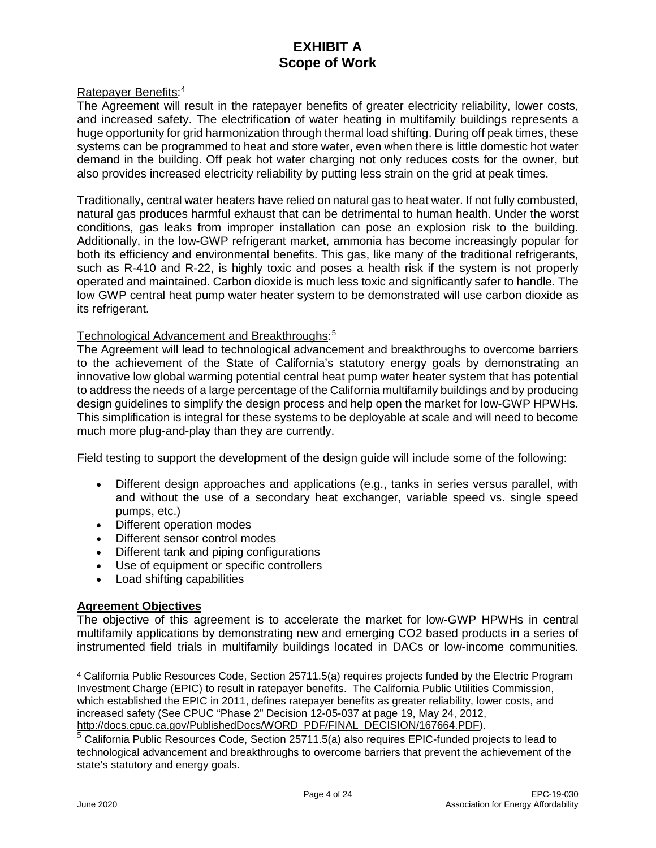#### Ratepayer Benefits:<sup>[4](#page-6-0)</sup>

The Agreement will result in the ratepayer benefits of greater electricity reliability, lower costs, and increased safety. The electrification of water heating in multifamily buildings represents a huge opportunity for grid harmonization through thermal load shifting. During off peak times, these systems can be programmed to heat and store water, even when there is little domestic hot water demand in the building. Off peak hot water charging not only reduces costs for the owner, but also provides increased electricity reliability by putting less strain on the grid at peak times.

Traditionally, central water heaters have relied on natural gas to heat water. If not fully combusted, natural gas produces harmful exhaust that can be detrimental to human health. Under the worst conditions, gas leaks from improper installation can pose an explosion risk to the building. Additionally, in the low-GWP refrigerant market, ammonia has become increasingly popular for both its efficiency and environmental benefits. This gas, like many of the traditional refrigerants, such as R-410 and R-22, is highly toxic and poses a health risk if the system is not properly operated and maintained. Carbon dioxide is much less toxic and significantly safer to handle. The low GWP central heat pump water heater system to be demonstrated will use carbon dioxide as its refrigerant.

# Technological Advancement and Breakthroughs: [5](#page-6-1)

The Agreement will lead to technological advancement and breakthroughs to overcome barriers to the achievement of the State of California's statutory energy goals by demonstrating an innovative low global warming potential central heat pump water heater system that has potential to address the needs of a large percentage of the California multifamily buildings and by producing design guidelines to simplify the design process and help open the market for low-GWP HPWHs. This simplification is integral for these systems to be deployable at scale and will need to become much more plug-and-play than they are currently.

Field testing to support the development of the design guide will include some of the following:

- Different design approaches and applications (e.g., tanks in series versus parallel, with and without the use of a secondary heat exchanger, variable speed vs. single speed pumps, etc.)
- Different operation modes
- Different sensor control modes
- Different tank and piping configurations
- Use of equipment or specific controllers
- Load shifting capabilities

#### **Agreement Objectives**

The objective of this agreement is to accelerate the market for low-GWP HPWHs in central multifamily applications by demonstrating new and emerging CO2 based products in a series of instrumented field trials in multifamily buildings located in DACs or low-income communities.

<span id="page-6-0"></span><sup>4</sup> California Public Resources Code, Section 25711.5(a) requires projects funded by the Electric Program Investment Charge (EPIC) to result in ratepayer benefits. The California Public Utilities Commission, which established the EPIC in 2011, defines ratepayer benefits as greater reliability, lower costs, and increased safety (See CPUC "Phase 2" Decision 12-05-037 at page 19, May 24, 2012, http://docs.cpuc.ca.gov/PublishedDocs/WORD PDF/FINAL DECISION/167664.PDF).

<span id="page-6-1"></span> $5$  California Public Resources Code, Section 25711.5(a) also requires EPIC-funded projects to lead to technological advancement and breakthroughs to overcome barriers that prevent the achievement of the state's statutory and energy goals.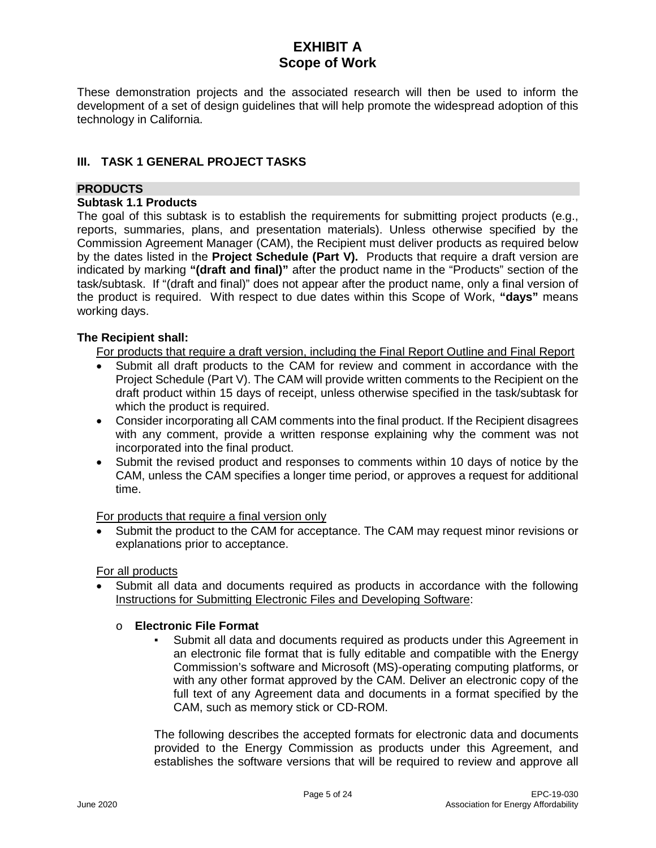These demonstration projects and the associated research will then be used to inform the development of a set of design guidelines that will help promote the widespread adoption of this technology in California.

# **III. TASK 1 GENERAL PROJECT TASKS**

### **PRODUCTS**

### **Subtask 1.1 Products**

The goal of this subtask is to establish the requirements for submitting project products (e.g., reports, summaries, plans, and presentation materials). Unless otherwise specified by the Commission Agreement Manager (CAM), the Recipient must deliver products as required below by the dates listed in the **Project Schedule (Part V).** Products that require a draft version are indicated by marking **"(draft and final)"** after the product name in the "Products" section of the task/subtask. If "(draft and final)" does not appear after the product name, only a final version of the product is required. With respect to due dates within this Scope of Work, **"days"** means working days.

# **The Recipient shall:**

For products that require a draft version, including the Final Report Outline and Final Report

- Submit all draft products to the CAM for review and comment in accordance with the Project Schedule (Part V). The CAM will provide written comments to the Recipient on the draft product within 15 days of receipt, unless otherwise specified in the task/subtask for which the product is required.
- Consider incorporating all CAM comments into the final product. If the Recipient disagrees with any comment, provide a written response explaining why the comment was not incorporated into the final product.
- Submit the revised product and responses to comments within 10 days of notice by the CAM, unless the CAM specifies a longer time period, or approves a request for additional time.

For products that require a final version only

• Submit the product to the CAM for acceptance. The CAM may request minor revisions or explanations prior to acceptance.

For all products

• Submit all data and documents required as products in accordance with the following Instructions for Submitting Electronic Files and Developing Software:

#### o **Electronic File Format**

Submit all data and documents required as products under this Agreement in an electronic file format that is fully editable and compatible with the Energy Commission's software and Microsoft (MS)-operating computing platforms, or with any other format approved by the CAM. Deliver an electronic copy of the full text of any Agreement data and documents in a format specified by the CAM, such as memory stick or CD-ROM.

The following describes the accepted formats for electronic data and documents provided to the Energy Commission as products under this Agreement, and establishes the software versions that will be required to review and approve all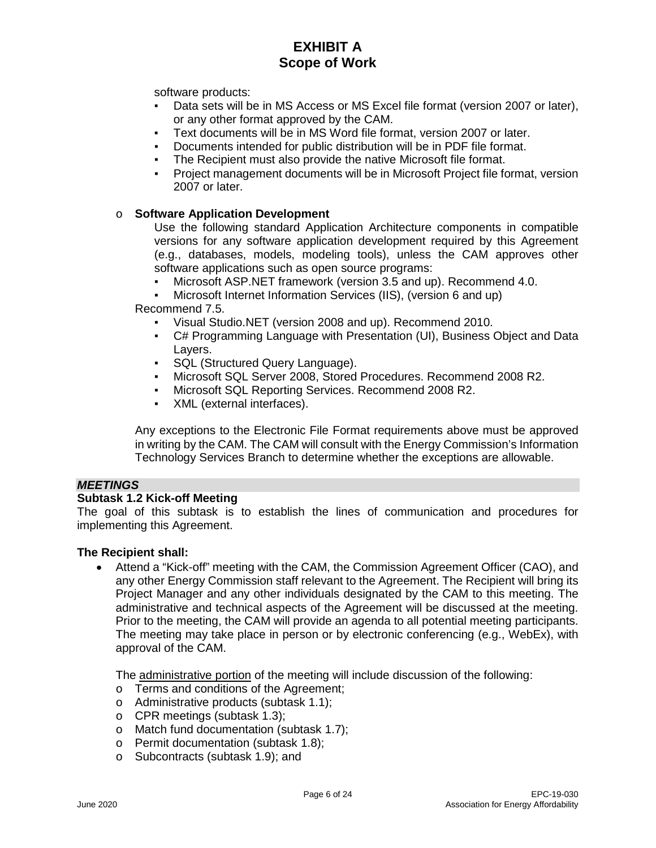software products:

- Data sets will be in MS Access or MS Excel file format (version 2007 or later), or any other format approved by the CAM.
- Text documents will be in MS Word file format, version 2007 or later.
- Documents intended for public distribution will be in PDF file format.
- The Recipient must also provide the native Microsoft file format.
- Project management documents will be in Microsoft Project file format, version 2007 or later.

### o **Software Application Development**

Use the following standard Application Architecture components in compatible versions for any software application development required by this Agreement (e.g., databases, models, modeling tools), unless the CAM approves other software applications such as open source programs:

- Microsoft ASP.NET framework (version 3.5 and up). Recommend 4.0.
- Microsoft Internet Information Services (IIS), (version 6 and up)

Recommend 7.5.

- Visual Studio.NET (version 2008 and up). Recommend 2010.
- C# Programming Language with Presentation (UI), Business Object and Data Layers.
- SQL (Structured Query Language).
- Microsoft SQL Server 2008, Stored Procedures. Recommend 2008 R2.
- Microsoft SQL Reporting Services. Recommend 2008 R2.
- XML (external interfaces).

Any exceptions to the Electronic File Format requirements above must be approved in writing by the CAM. The CAM will consult with the Energy Commission's Information Technology Services Branch to determine whether the exceptions are allowable.

### *MEETINGS*

#### **Subtask 1.2 Kick-off Meeting**

The goal of this subtask is to establish the lines of communication and procedures for implementing this Agreement.

#### **The Recipient shall:**

• Attend a "Kick-off" meeting with the CAM, the Commission Agreement Officer (CAO), and any other Energy Commission staff relevant to the Agreement. The Recipient will bring its Project Manager and any other individuals designated by the CAM to this meeting. The administrative and technical aspects of the Agreement will be discussed at the meeting. Prior to the meeting, the CAM will provide an agenda to all potential meeting participants. The meeting may take place in person or by electronic conferencing (e.g., WebEx), with approval of the CAM.

The administrative portion of the meeting will include discussion of the following:

- o Terms and conditions of the Agreement;
- o Administrative products (subtask 1.1);
- o CPR meetings (subtask 1.3);
- o Match fund documentation (subtask 1.7);
- o Permit documentation (subtask 1.8);
- o Subcontracts (subtask 1.9); and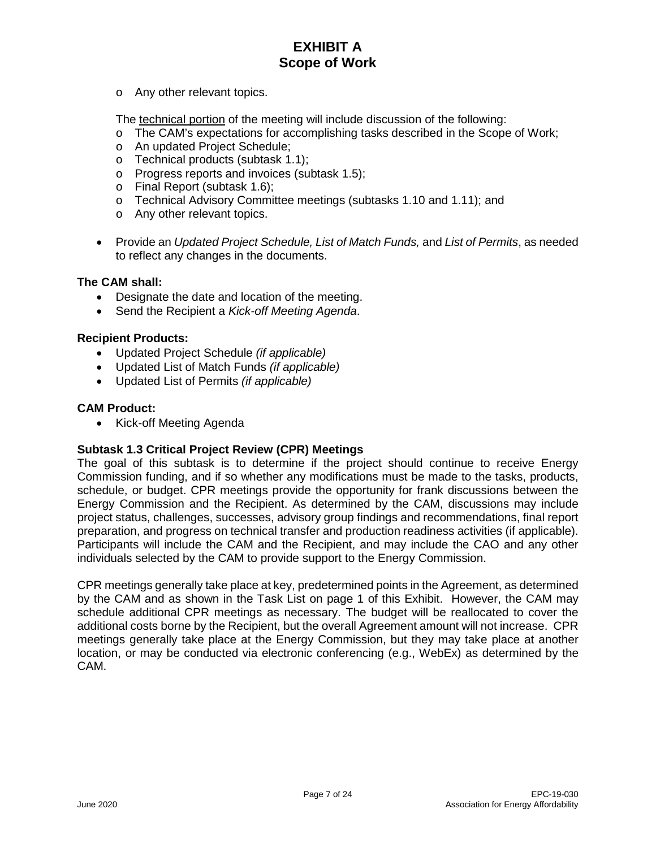o Any other relevant topics.

The technical portion of the meeting will include discussion of the following:

- o The CAM's expectations for accomplishing tasks described in the Scope of Work;
- o An updated Project Schedule;
- o Technical products (subtask 1.1);
- o Progress reports and invoices (subtask 1.5);
- o Final Report (subtask 1.6);
- o Technical Advisory Committee meetings (subtasks 1.10 and 1.11); and
- o Any other relevant topics.
- Provide an *Updated Project Schedule, List of Match Funds,* and *List of Permits*, as needed to reflect any changes in the documents.

### **The CAM shall:**

- Designate the date and location of the meeting.
- Send the Recipient a *Kick-off Meeting Agenda*.

#### **Recipient Products:**

- Updated Project Schedule *(if applicable)*
- Updated List of Match Funds *(if applicable)*
- Updated List of Permits *(if applicable)*

#### **CAM Product:**

• Kick-off Meeting Agenda

# **Subtask 1.3 Critical Project Review (CPR) Meetings**

The goal of this subtask is to determine if the project should continue to receive Energy Commission funding, and if so whether any modifications must be made to the tasks, products, schedule, or budget. CPR meetings provide the opportunity for frank discussions between the Energy Commission and the Recipient. As determined by the CAM, discussions may include project status, challenges, successes, advisory group findings and recommendations, final report preparation, and progress on technical transfer and production readiness activities (if applicable). Participants will include the CAM and the Recipient, and may include the CAO and any other individuals selected by the CAM to provide support to the Energy Commission.

CPR meetings generally take place at key, predetermined points in the Agreement, as determined by the CAM and as shown in the Task List on page 1 of this Exhibit. However, the CAM may schedule additional CPR meetings as necessary. The budget will be reallocated to cover the additional costs borne by the Recipient, but the overall Agreement amount will not increase. CPR meetings generally take place at the Energy Commission, but they may take place at another location, or may be conducted via electronic conferencing (e.g., WebEx) as determined by the CAM.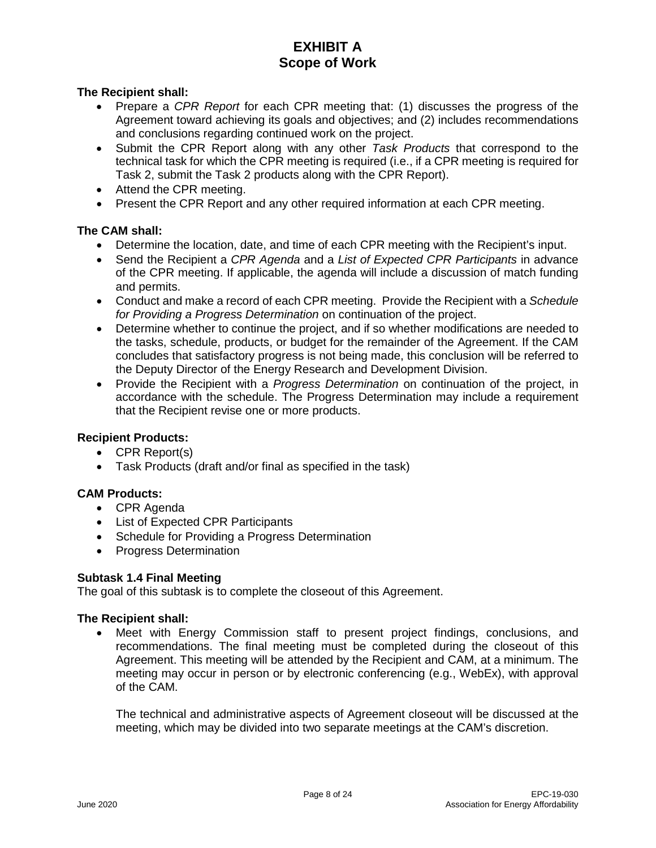# **The Recipient shall:**

- Prepare a *CPR Report* for each CPR meeting that: (1) discusses the progress of the Agreement toward achieving its goals and objectives; and (2) includes recommendations and conclusions regarding continued work on the project.
- Submit the CPR Report along with any other *Task Products* that correspond to the technical task for which the CPR meeting is required (i.e., if a CPR meeting is required for Task 2, submit the Task 2 products along with the CPR Report).
- Attend the CPR meeting.
- Present the CPR Report and any other required information at each CPR meeting.

### **The CAM shall:**

- Determine the location, date, and time of each CPR meeting with the Recipient's input.
- Send the Recipient a *CPR Agenda* and a *List of Expected CPR Participants* in advance of the CPR meeting. If applicable, the agenda will include a discussion of match funding and permits.
- Conduct and make a record of each CPR meeting. Provide the Recipient with a *Schedule for Providing a Progress Determination* on continuation of the project.
- Determine whether to continue the project, and if so whether modifications are needed to the tasks, schedule, products, or budget for the remainder of the Agreement. If the CAM concludes that satisfactory progress is not being made, this conclusion will be referred to the Deputy Director of the Energy Research and Development Division.
- Provide the Recipient with a *Progress Determination* on continuation of the project, in accordance with the schedule. The Progress Determination may include a requirement that the Recipient revise one or more products.

# **Recipient Products:**

- CPR Report(s)
- Task Products (draft and/or final as specified in the task)

# **CAM Products:**

- CPR Agenda
- List of Expected CPR Participants
- Schedule for Providing a Progress Determination
- Progress Determination

#### **Subtask 1.4 Final Meeting**

The goal of this subtask is to complete the closeout of this Agreement.

#### **The Recipient shall:**

• Meet with Energy Commission staff to present project findings, conclusions, and recommendations. The final meeting must be completed during the closeout of this Agreement. This meeting will be attended by the Recipient and CAM, at a minimum. The meeting may occur in person or by electronic conferencing (e.g., WebEx), with approval of the CAM.

The technical and administrative aspects of Agreement closeout will be discussed at the meeting, which may be divided into two separate meetings at the CAM's discretion.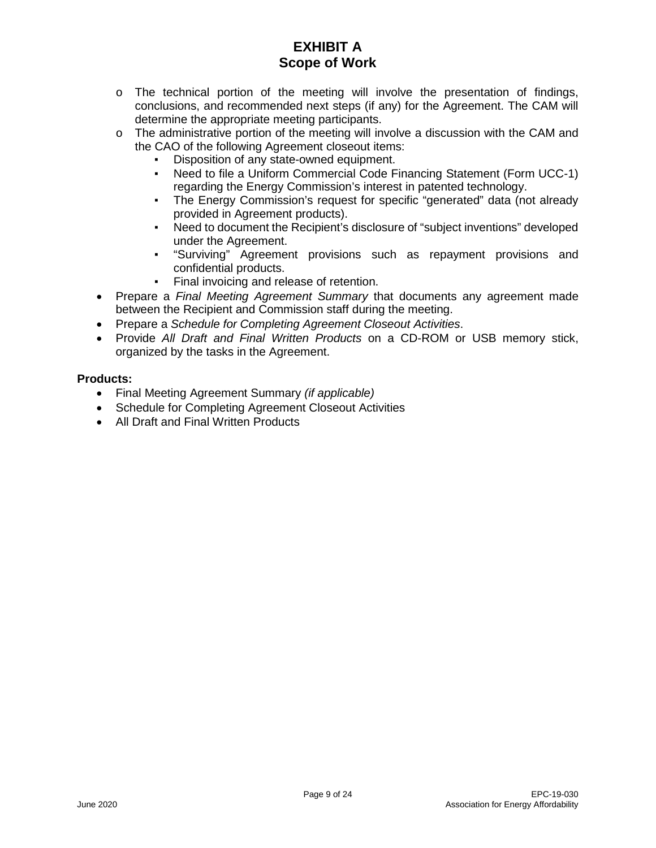- $\circ$  The technical portion of the meeting will involve the presentation of findings, conclusions, and recommended next steps (if any) for the Agreement. The CAM will determine the appropriate meeting participants.
- $\circ$  The administrative portion of the meeting will involve a discussion with the CAM and the CAO of the following Agreement closeout items:
	- Disposition of any state-owned equipment.
	- Need to file a Uniform Commercial Code Financing Statement (Form UCC-1) regarding the Energy Commission's interest in patented technology.
	- The Energy Commission's request for specific "generated" data (not already provided in Agreement products).
	- Need to document the Recipient's disclosure of "subject inventions" developed under the Agreement.
	- "Surviving" Agreement provisions such as repayment provisions and confidential products.
	- Final invoicing and release of retention.
- Prepare a *Final Meeting Agreement Summary* that documents any agreement made between the Recipient and Commission staff during the meeting.
- Prepare a *Schedule for Completing Agreement Closeout Activities*.
- Provide *All Draft and Final Written Products* on a CD-ROM or USB memory stick, organized by the tasks in the Agreement.

# **Products:**

- Final Meeting Agreement Summary *(if applicable)*
- Schedule for Completing Agreement Closeout Activities
- All Draft and Final Written Products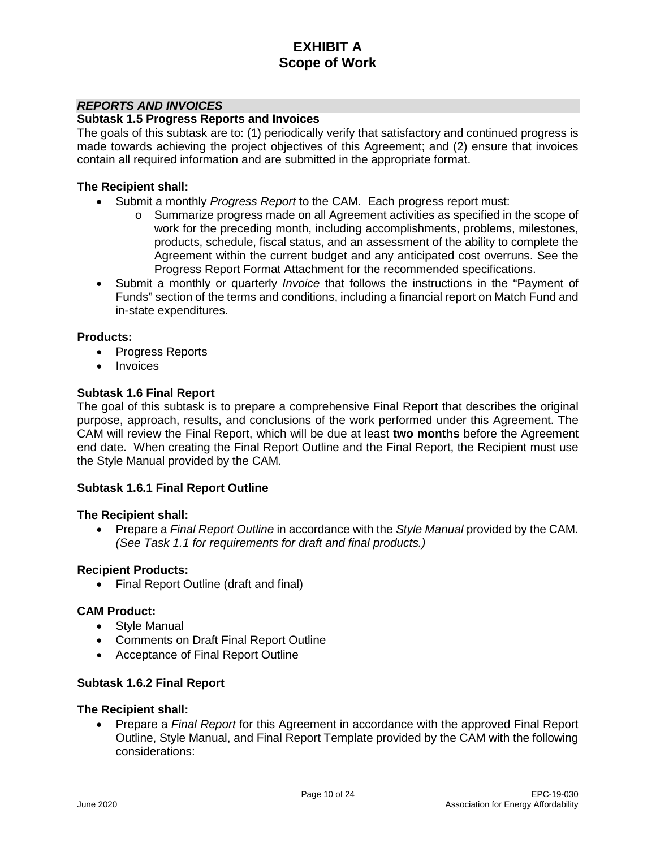### *REPORTS AND INVOICES*

#### **Subtask 1.5 Progress Reports and Invoices**

The goals of this subtask are to: (1) periodically verify that satisfactory and continued progress is made towards achieving the project objectives of this Agreement; and (2) ensure that invoices contain all required information and are submitted in the appropriate format.

#### **The Recipient shall:**

- Submit a monthly *Progress Report* to the CAM. Each progress report must:
	- $\circ$  Summarize progress made on all Agreement activities as specified in the scope of work for the preceding month, including accomplishments, problems, milestones, products, schedule, fiscal status, and an assessment of the ability to complete the Agreement within the current budget and any anticipated cost overruns. See the Progress Report Format Attachment for the recommended specifications.
- Submit a monthly or quarterly *Invoice* that follows the instructions in the "Payment of Funds" section of the terms and conditions, including a financial report on Match Fund and in-state expenditures.

#### **Products:**

- Progress Reports
- Invoices

### **Subtask 1.6 Final Report**

The goal of this subtask is to prepare a comprehensive Final Report that describes the original purpose, approach, results, and conclusions of the work performed under this Agreement. The CAM will review the Final Report, which will be due at least **two months** before the Agreement end date. When creating the Final Report Outline and the Final Report, the Recipient must use the Style Manual provided by the CAM.

#### **Subtask 1.6.1 Final Report Outline**

#### **The Recipient shall:**

• Prepare a *Final Report Outline* in accordance with the *Style Manual* provided by the CAM. *(See Task 1.1 for requirements for draft and final products.)*

#### **Recipient Products:**

• Final Report Outline (draft and final)

#### **CAM Product:**

- Style Manual
- Comments on Draft Final Report Outline
- Acceptance of Final Report Outline

#### **Subtask 1.6.2 Final Report**

#### **The Recipient shall:**

• Prepare a *Final Report* for this Agreement in accordance with the approved Final Report Outline, Style Manual, and Final Report Template provided by the CAM with the following considerations: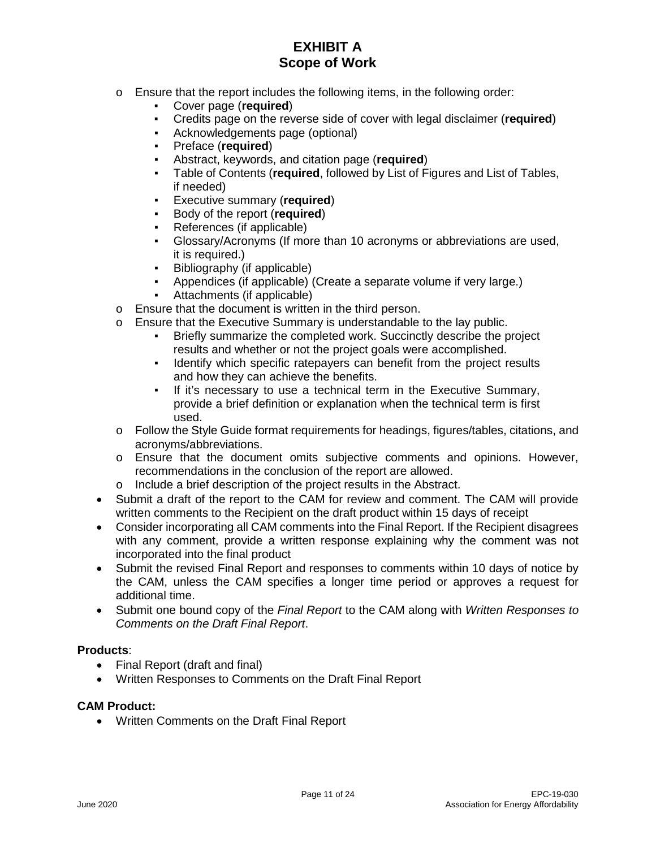- $\circ$  Ensure that the report includes the following items, in the following order:
	- Cover page (**required**)
	- **•** Credits page on the reverse side of cover with legal disclaimer (**required**)<br>• Acknowledgements page (ontional)
	- Acknowledgements page (optional)
	- Preface (**required**)
	- Abstract, keywords, and citation page (**required**)
	- Table of Contents (**required**, followed by List of Figures and List of Tables, if needed)
	- **Executive summary (required)**
	- Body of the report (**required**)
	- References (if applicable)
	- Glossary/Acronyms (If more than 10 acronyms or abbreviations are used, it is required.)
	- Bibliography (if applicable)
	- Appendices (if applicable) (Create a separate volume if very large.)
	- Attachments (if applicable)
- o Ensure that the document is written in the third person.
- o Ensure that the Executive Summary is understandable to the lay public.
	- Briefly summarize the completed work. Succinctly describe the project results and whether or not the project goals were accomplished.
	- Identify which specific ratepayers can benefit from the project results and how they can achieve the benefits.
	- If it's necessary to use a technical term in the Executive Summary, provide a brief definition or explanation when the technical term is first used.
- o Follow the Style Guide format requirements for headings, figures/tables, citations, and acronyms/abbreviations.
- o Ensure that the document omits subjective comments and opinions. However, recommendations in the conclusion of the report are allowed.
- o Include a brief description of the project results in the Abstract.
- Submit a draft of the report to the CAM for review and comment. The CAM will provide written comments to the Recipient on the draft product within 15 days of receipt
- Consider incorporating all CAM comments into the Final Report. If the Recipient disagrees with any comment, provide a written response explaining why the comment was not incorporated into the final product
- Submit the revised Final Report and responses to comments within 10 days of notice by the CAM, unless the CAM specifies a longer time period or approves a request for additional time.
- Submit one bound copy of the *Final Report* to the CAM along with *Written Responses to Comments on the Draft Final Report*.

# **Products**:

- Final Report (draft and final)
- Written Responses to Comments on the Draft Final Report

#### **CAM Product:**

• Written Comments on the Draft Final Report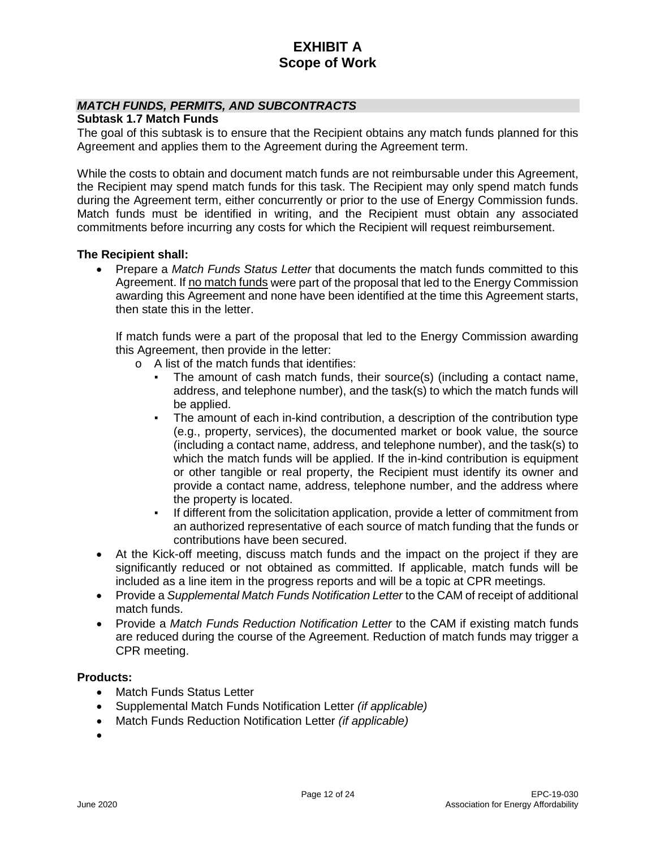# *MATCH FUNDS, PERMITS, AND SUBCONTRACTS*

**Subtask 1.7 Match Funds**

The goal of this subtask is to ensure that the Recipient obtains any match funds planned for this Agreement and applies them to the Agreement during the Agreement term.

While the costs to obtain and document match funds are not reimbursable under this Agreement, the Recipient may spend match funds for this task. The Recipient may only spend match funds during the Agreement term, either concurrently or prior to the use of Energy Commission funds. Match funds must be identified in writing, and the Recipient must obtain any associated commitments before incurring any costs for which the Recipient will request reimbursement.

#### **The Recipient shall:**

• Prepare a *Match Funds Status Letter* that documents the match funds committed to this Agreement. If no match funds were part of the proposal that led to the Energy Commission awarding this Agreement and none have been identified at the time this Agreement starts, then state this in the letter.

If match funds were a part of the proposal that led to the Energy Commission awarding this Agreement, then provide in the letter:

- o A list of the match funds that identifies:
	- The amount of cash match funds, their source(s) (including a contact name, address, and telephone number), and the task(s) to which the match funds will be applied.
	- The amount of each in-kind contribution, a description of the contribution type (e.g., property, services), the documented market or book value, the source (including a contact name, address, and telephone number), and the task(s) to which the match funds will be applied. If the in-kind contribution is equipment or other tangible or real property, the Recipient must identify its owner and provide a contact name, address, telephone number, and the address where the property is located.
	- If different from the solicitation application, provide a letter of commitment from an authorized representative of each source of match funding that the funds or contributions have been secured.
- At the Kick-off meeting, discuss match funds and the impact on the project if they are significantly reduced or not obtained as committed. If applicable, match funds will be included as a line item in the progress reports and will be a topic at CPR meetings.
- Provide a *Supplemental Match Funds Notification Letter* to the CAM of receipt of additional match funds.
- Provide a *Match Funds Reduction Notification Letter* to the CAM if existing match funds are reduced during the course of the Agreement. Reduction of match funds may trigger a CPR meeting.

#### **Products:**

- Match Funds Status Letter
- Supplemental Match Funds Notification Letter *(if applicable)*
- Match Funds Reduction Notification Letter *(if applicable)*

•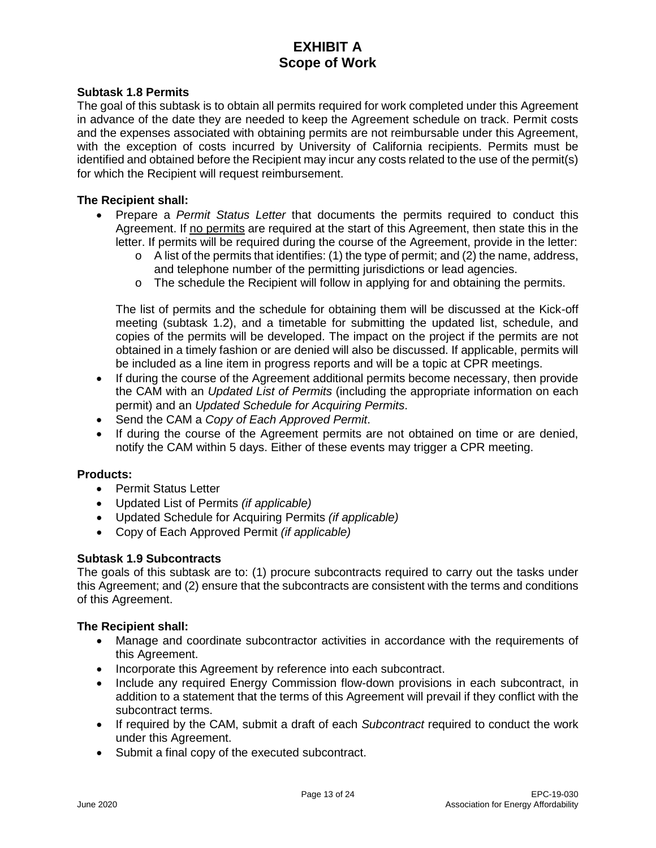### **Subtask 1.8 Permits**

The goal of this subtask is to obtain all permits required for work completed under this Agreement in advance of the date they are needed to keep the Agreement schedule on track. Permit costs and the expenses associated with obtaining permits are not reimbursable under this Agreement, with the exception of costs incurred by University of California recipients. Permits must be identified and obtained before the Recipient may incur any costs related to the use of the permit(s) for which the Recipient will request reimbursement.

#### **The Recipient shall:**

- Prepare a *Permit Status Letter* that documents the permits required to conduct this Agreement. If no permits are required at the start of this Agreement, then state this in the letter. If permits will be required during the course of the Agreement, provide in the letter:
	- $\circ$  A list of the permits that identifies: (1) the type of permit; and (2) the name, address, and telephone number of the permitting jurisdictions or lead agencies.
	- $\circ$  The schedule the Recipient will follow in applying for and obtaining the permits.

The list of permits and the schedule for obtaining them will be discussed at the Kick-off meeting (subtask 1.2), and a timetable for submitting the updated list, schedule, and copies of the permits will be developed. The impact on the project if the permits are not obtained in a timely fashion or are denied will also be discussed. If applicable, permits will be included as a line item in progress reports and will be a topic at CPR meetings.

- If during the course of the Agreement additional permits become necessary, then provide the CAM with an *Updated List of Permits* (including the appropriate information on each permit) and an *Updated Schedule for Acquiring Permits*.
- Send the CAM a *Copy of Each Approved Permit*.
- If during the course of the Agreement permits are not obtained on time or are denied, notify the CAM within 5 days. Either of these events may trigger a CPR meeting.

#### **Products:**

- Permit Status Letter
- Updated List of Permits *(if applicable)*
- Updated Schedule for Acquiring Permits *(if applicable)*
- Copy of Each Approved Permit *(if applicable)*

# **Subtask 1.9 Subcontracts**

The goals of this subtask are to: (1) procure subcontracts required to carry out the tasks under this Agreement; and (2) ensure that the subcontracts are consistent with the terms and conditions of this Agreement.

- Manage and coordinate subcontractor activities in accordance with the requirements of this Agreement.
- Incorporate this Agreement by reference into each subcontract.
- Include any required Energy Commission flow-down provisions in each subcontract, in addition to a statement that the terms of this Agreement will prevail if they conflict with the subcontract terms.
- If required by the CAM, submit a draft of each *Subcontract* required to conduct the work under this Agreement.
- Submit a final copy of the executed subcontract.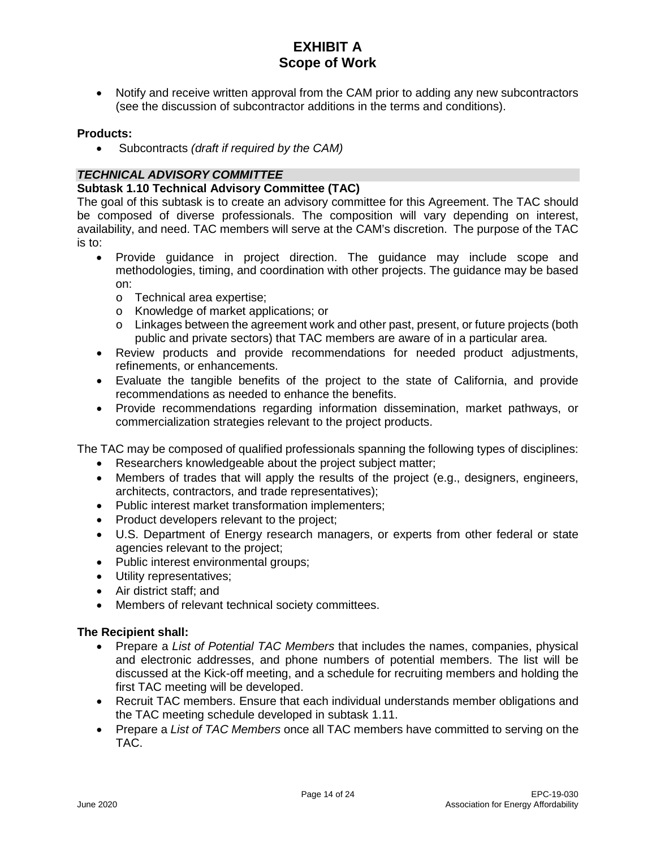• Notify and receive written approval from the CAM prior to adding any new subcontractors (see the discussion of subcontractor additions in the terms and conditions).

### **Products:**

• Subcontracts *(draft if required by the CAM)*

# *TECHNICAL ADVISORY COMMITTEE*

# **Subtask 1.10 Technical Advisory Committee (TAC)**

The goal of this subtask is to create an advisory committee for this Agreement. The TAC should be composed of diverse professionals. The composition will vary depending on interest, availability, and need. TAC members will serve at the CAM's discretion. The purpose of the TAC is to:

- Provide guidance in project direction. The guidance may include scope and methodologies, timing, and coordination with other projects. The guidance may be based on:
	- o Technical area expertise;
	- o Knowledge of market applications; or
	- o Linkages between the agreement work and other past, present, or future projects (both public and private sectors) that TAC members are aware of in a particular area.
- Review products and provide recommendations for needed product adjustments, refinements, or enhancements.
- Evaluate the tangible benefits of the project to the state of California, and provide recommendations as needed to enhance the benefits.
- Provide recommendations regarding information dissemination, market pathways, or commercialization strategies relevant to the project products.

The TAC may be composed of qualified professionals spanning the following types of disciplines:

- Researchers knowledgeable about the project subject matter;
- Members of trades that will apply the results of the project (e.g., designers, engineers, architects, contractors, and trade representatives);
- Public interest market transformation implementers;
- Product developers relevant to the project;
- U.S. Department of Energy research managers, or experts from other federal or state agencies relevant to the project;
- Public interest environmental groups;
- Utility representatives;
- Air district staff; and
- Members of relevant technical society committees.

- Prepare a *List of Potential TAC Members* that includes the names, companies, physical and electronic addresses, and phone numbers of potential members. The list will be discussed at the Kick-off meeting, and a schedule for recruiting members and holding the first TAC meeting will be developed.
- Recruit TAC members. Ensure that each individual understands member obligations and the TAC meeting schedule developed in subtask 1.11.
- Prepare a *List of TAC Members* once all TAC members have committed to serving on the TAC.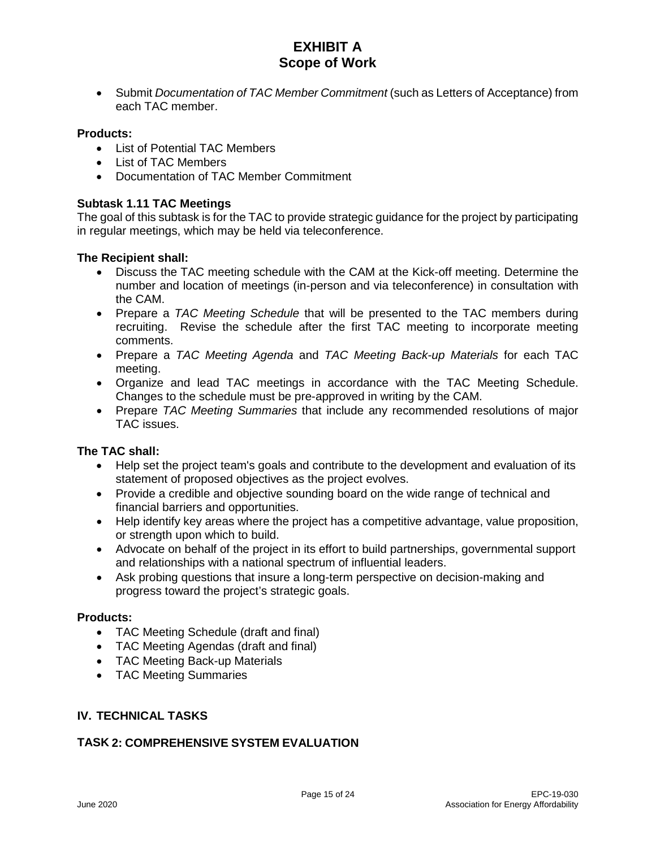• Submit *Documentation of TAC Member Commitment* (such as Letters of Acceptance) from each TAC member.

### **Products:**

- List of Potential TAC Members
- List of TAC Members
- Documentation of TAC Member Commitment

### **Subtask 1.11 TAC Meetings**

The goal of this subtask is for the TAC to provide strategic guidance for the project by participating in regular meetings, which may be held via teleconference.

### **The Recipient shall:**

- Discuss the TAC meeting schedule with the CAM at the Kick-off meeting. Determine the number and location of meetings (in-person and via teleconference) in consultation with the CAM.
- Prepare a *TAC Meeting Schedule* that will be presented to the TAC members during recruiting. Revise the schedule after the first TAC meeting to incorporate meeting comments.
- Prepare a *TAC Meeting Agenda* and *TAC Meeting Back-up Materials* for each TAC meeting.
- Organize and lead TAC meetings in accordance with the TAC Meeting Schedule. Changes to the schedule must be pre-approved in writing by the CAM.
- Prepare *TAC Meeting Summaries* that include any recommended resolutions of major TAC issues.

# **The TAC shall:**

- Help set the project team's goals and contribute to the development and evaluation of its statement of proposed objectives as the project evolves.
- Provide a credible and objective sounding board on the wide range of technical and financial barriers and opportunities.
- Help identify key areas where the project has a competitive advantage, value proposition, or strength upon which to build.
- Advocate on behalf of the project in its effort to build partnerships, governmental support and relationships with a national spectrum of influential leaders.
- Ask probing questions that insure a long-term perspective on decision-making and progress toward the project's strategic goals.

#### **Products:**

- TAC Meeting Schedule (draft and final)
- TAC Meeting Agendas (draft and final)
- TAC Meeting Back-up Materials
- TAC Meeting Summaries

# **IV. TECHNICAL TASKS**

# **TASK 2: COMPREHENSIVE SYSTEM EVALUATION**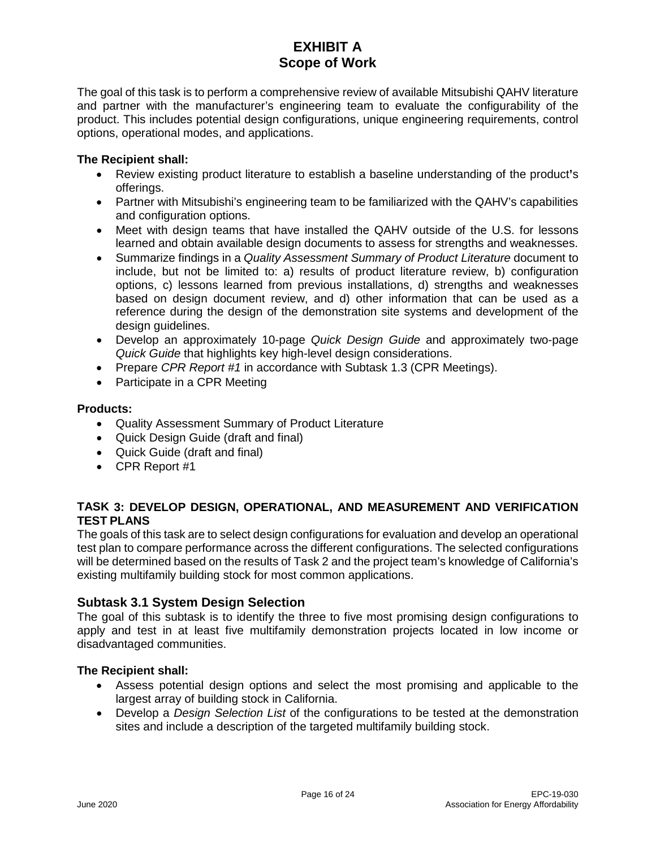The goal of this task is to perform a comprehensive review of available Mitsubishi QAHV literature and partner with the manufacturer's engineering team to evaluate the configurability of the product. This includes potential design configurations, unique engineering requirements, control options, operational modes, and applications.

### **The Recipient shall:**

- Review existing product literature to establish a baseline understanding of the product**'**s offerings.
- Partner with Mitsubishi's engineering team to be familiarized with the QAHV's capabilities and configuration options.
- Meet with design teams that have installed the QAHV outside of the U.S. for lessons learned and obtain available design documents to assess for strengths and weaknesses.
- Summarize findings in a *Quality Assessment Summary of Product Literature* document to include, but not be limited to: a) results of product literature review, b) configuration options, c) lessons learned from previous installations, d) strengths and weaknesses based on design document review, and d) other information that can be used as a reference during the design of the demonstration site systems and development of the design guidelines.
- Develop an approximately 10-page *Quick Design Guide* and approximately two-page *Quick Guide* that highlights key high-level design considerations.
- Prepare *CPR Report #1* in accordance with Subtask 1.3 (CPR Meetings).
- Participate in a CPR Meeting

### **Products:**

- Quality Assessment Summary of Product Literature
- Quick Design Guide (draft and final)
- Quick Guide (draft and final)
- CPR Report #1

# **TASK 3: DEVELOP DESIGN, OPERATIONAL, AND MEASUREMENT AND VERIFICATION TEST PLANS**

The goals of this task are to select design configurations for evaluation and develop an operational test plan to compare performance across the different configurations. The selected configurations will be determined based on the results of Task 2 and the project team's knowledge of California's existing multifamily building stock for most common applications.

# **Subtask 3.1 System Design Selection**

The goal of this subtask is to identify the three to five most promising design configurations to apply and test in at least five multifamily demonstration projects located in low income or disadvantaged communities.

- Assess potential design options and select the most promising and applicable to the largest array of building stock in California.
- Develop a *Design Selection List* of the configurations to be tested at the demonstration sites and include a description of the targeted multifamily building stock.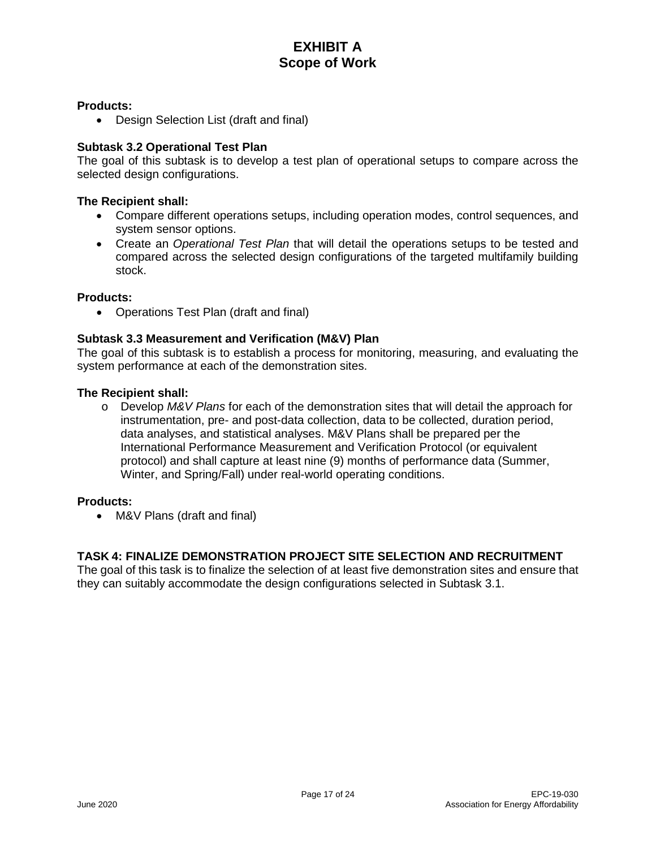#### **Products:**

• Design Selection List (draft and final)

### **Subtask 3.2 Operational Test Plan**

The goal of this subtask is to develop a test plan of operational setups to compare across the selected design configurations.

#### **The Recipient shall:**

- Compare different operations setups, including operation modes, control sequences, and system sensor options.
- Create an *Operational Test Plan* that will detail the operations setups to be tested and compared across the selected design configurations of the targeted multifamily building stock.

#### **Products:**

• Operations Test Plan (draft and final)

### **Subtask 3.3 Measurement and Verification (M&V) Plan**

The goal of this subtask is to establish a process for monitoring, measuring, and evaluating the system performance at each of the demonstration sites.

#### **The Recipient shall:**

o Develop *M&V Plans* for each of the demonstration sites that will detail the approach for instrumentation, pre- and post-data collection, data to be collected, duration period, data analyses, and statistical analyses. M&V Plans shall be prepared per the International Performance Measurement and Verification Protocol (or equivalent protocol) and shall capture at least nine (9) months of performance data (Summer, Winter, and Spring/Fall) under real-world operating conditions.

#### **Products:**

• M&V Plans (draft and final)

# **TASK 4: FINALIZE DEMONSTRATION PROJECT SITE SELECTION AND RECRUITMENT**

The goal of this task is to finalize the selection of at least five demonstration sites and ensure that they can suitably accommodate the design configurations selected in Subtask 3.1.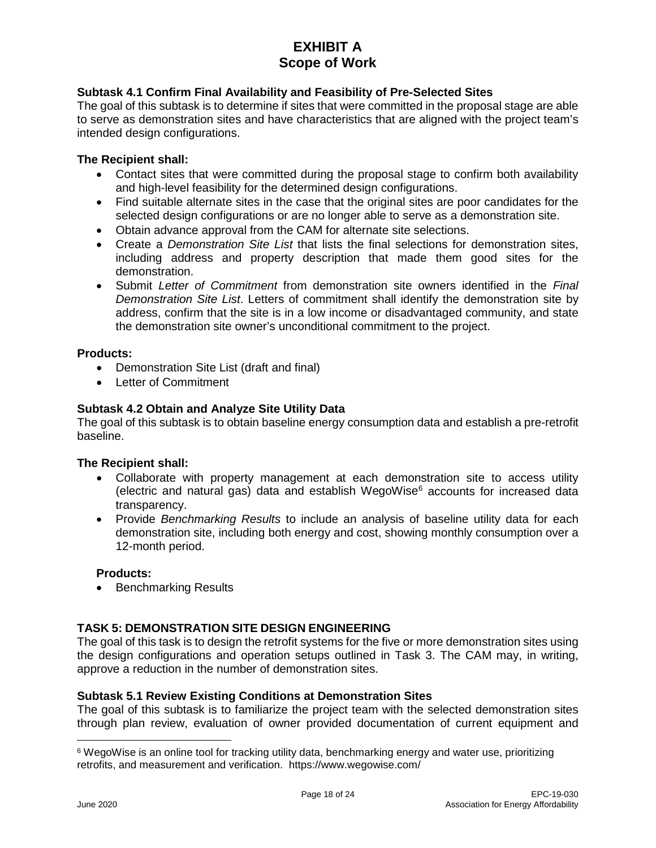# **Subtask 4.1 Confirm Final Availability and Feasibility of Pre-Selected Sites**

The goal of this subtask is to determine if sites that were committed in the proposal stage are able to serve as demonstration sites and have characteristics that are aligned with the project team's intended design configurations.

### **The Recipient shall:**

- Contact sites that were committed during the proposal stage to confirm both availability and high-level feasibility for the determined design configurations.
- Find suitable alternate sites in the case that the original sites are poor candidates for the selected design configurations or are no longer able to serve as a demonstration site.
- Obtain advance approval from the CAM for alternate site selections.
- Create a *Demonstration Site List* that lists the final selections for demonstration sites, including address and property description that made them good sites for the demonstration.
- Submit *Letter of Commitment* from demonstration site owners identified in the *Final Demonstration Site List*. Letters of commitment shall identify the demonstration site by address, confirm that the site is in a low income or disadvantaged community, and state the demonstration site owner's unconditional commitment to the project.

### **Products:**

- Demonstration Site List (draft and final)
- Letter of Commitment

### **Subtask 4.2 Obtain and Analyze Site Utility Data**

The goal of this subtask is to obtain baseline energy consumption data and establish a pre-retrofit baseline.

#### **The Recipient shall:**

- Collaborate with property management at each demonstration site to access utility (electric and natural gas) data and establish WegoWise $<sup>6</sup>$  $<sup>6</sup>$  $<sup>6</sup>$  accounts for increased data</sup> transparency.
- Provide *Benchmarking Results* to include an analysis of baseline utility data for each demonstration site, including both energy and cost, showing monthly consumption over a 12-month period.

#### **Products:**

• Benchmarking Results

# **TASK 5: DEMONSTRATION SITE DESIGN ENGINEERING**

The goal of this task is to design the retrofit systems for the five or more demonstration sites using the design configurations and operation setups outlined in Task 3. The CAM may, in writing, approve a reduction in the number of demonstration sites.

#### **Subtask 5.1 Review Existing Conditions at Demonstration Sites**

The goal of this subtask is to familiarize the project team with the selected demonstration sites through plan review, evaluation of owner provided documentation of current equipment and

<span id="page-20-0"></span><sup>&</sup>lt;sup>6</sup> WegoWise is an online tool for tracking utility data, benchmarking energy and water use, prioritizing retrofits, and measurement and verification. https://www.wegowise.com/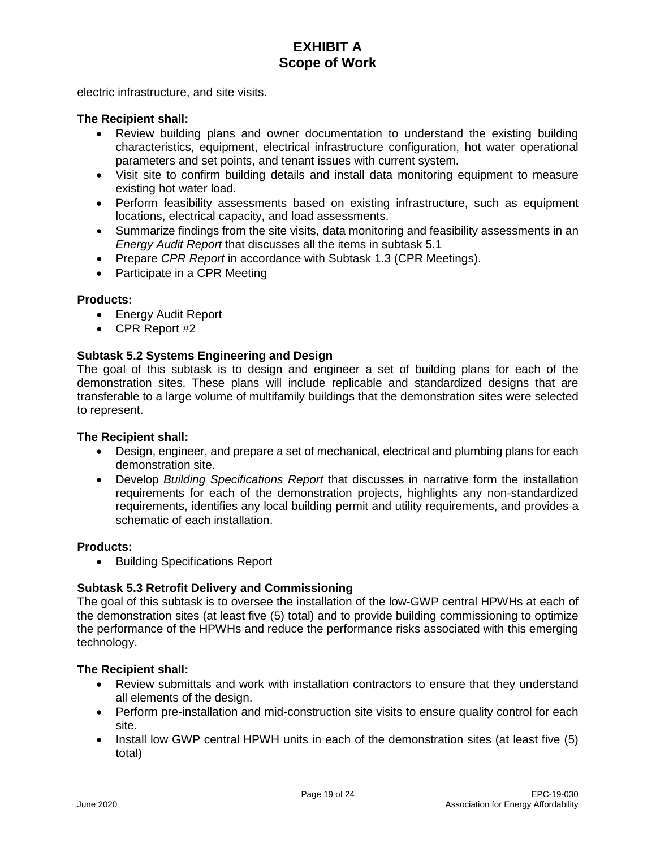electric infrastructure, and site visits.

#### **The Recipient shall:**

- Review building plans and owner documentation to understand the existing building characteristics, equipment, electrical infrastructure configuration, hot water operational parameters and set points, and tenant issues with current system.
- Visit site to confirm building details and install data monitoring equipment to measure existing hot water load.
- Perform feasibility assessments based on existing infrastructure, such as equipment locations, electrical capacity, and load assessments.
- Summarize findings from the site visits, data monitoring and feasibility assessments in an *Energy Audit Report* that discusses all the items in subtask 5.1
- Prepare *CPR Report* in accordance with Subtask 1.3 (CPR Meetings).
- Participate in a CPR Meeting

#### **Products:**

- Energy Audit Report
- CPR Report #2

#### **Subtask 5.2 Systems Engineering and Design**

The goal of this subtask is to design and engineer a set of building plans for each of the demonstration sites. These plans will include replicable and standardized designs that are transferable to a large volume of multifamily buildings that the demonstration sites were selected to represent.

#### **The Recipient shall:**

- Design, engineer, and prepare a set of mechanical, electrical and plumbing plans for each demonstration site.
- Develop *Building Specifications Report* that discusses in narrative form the installation requirements for each of the demonstration projects, highlights any non-standardized requirements, identifies any local building permit and utility requirements, and provides a schematic of each installation.

#### **Products:**

• Building Specifications Report

#### **Subtask 5.3 Retrofit Delivery and Commissioning**

The goal of this subtask is to oversee the installation of the low-GWP central HPWHs at each of the demonstration sites (at least five (5) total) and to provide building commissioning to optimize the performance of the HPWHs and reduce the performance risks associated with this emerging technology.

- Review submittals and work with installation contractors to ensure that they understand all elements of the design.
- Perform pre-installation and mid-construction site visits to ensure quality control for each site.
- Install low GWP central HPWH units in each of the demonstration sites (at least five (5) total)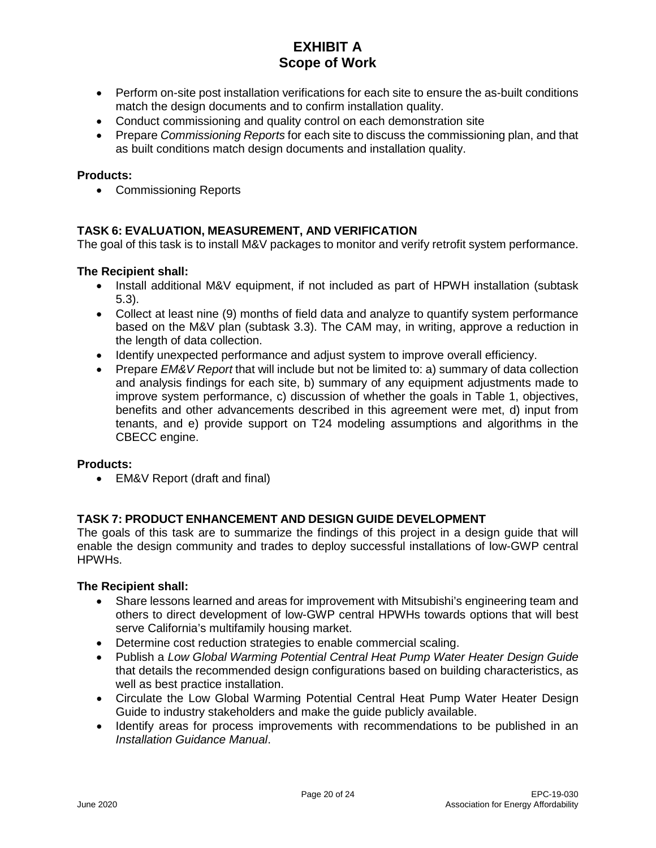- Perform on-site post installation verifications for each site to ensure the as-built conditions match the design documents and to confirm installation quality.
- Conduct commissioning and quality control on each demonstration site
- Prepare *Commissioning Reports* for each site to discuss the commissioning plan, and that as built conditions match design documents and installation quality.

### **Products:**

• Commissioning Reports

### **TASK 6: EVALUATION, MEASUREMENT, AND VERIFICATION**

The goal of this task is to install M&V packages to monitor and verify retrofit system performance.

### **The Recipient shall:**

- Install additional M&V equipment, if not included as part of HPWH installation (subtask 5.3).
- Collect at least nine (9) months of field data and analyze to quantify system performance based on the M&V plan (subtask 3.3). The CAM may, in writing, approve a reduction in the length of data collection.
- Identify unexpected performance and adjust system to improve overall efficiency.
- Prepare *EM&V Report* that will include but not be limited to: a) summary of data collection and analysis findings for each site, b) summary of any equipment adjustments made to improve system performance, c) discussion of whether the goals in Table 1, objectives, benefits and other advancements described in this agreement were met, d) input from tenants, and e) provide support on T24 modeling assumptions and algorithms in the CBECC engine.

#### **Products:**

• EM&V Report (draft and final)

# **TASK 7: PRODUCT ENHANCEMENT AND DESIGN GUIDE DEVELOPMENT**

The goals of this task are to summarize the findings of this project in a design guide that will enable the design community and trades to deploy successful installations of low-GWP central HPWHs.

- Share lessons learned and areas for improvement with Mitsubishi's engineering team and others to direct development of low-GWP central HPWHs towards options that will best serve California's multifamily housing market.
- Determine cost reduction strategies to enable commercial scaling.
- Publish a *Low Global Warming Potential Central Heat Pump Water Heater Design Guide* that details the recommended design configurations based on building characteristics, as well as best practice installation.
- Circulate the Low Global Warming Potential Central Heat Pump Water Heater Design Guide to industry stakeholders and make the guide publicly available.
- Identify areas for process improvements with recommendations to be published in an *Installation Guidance Manual*.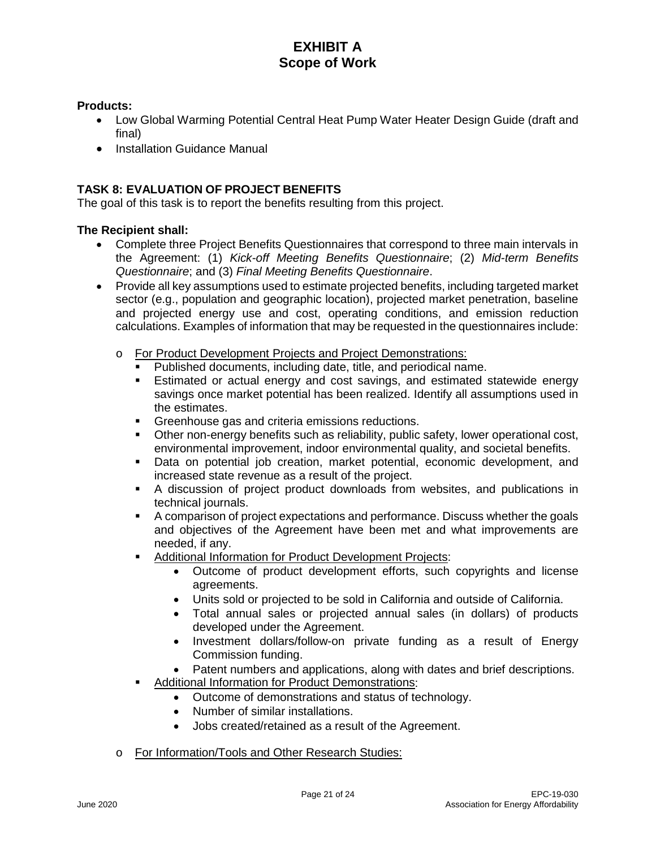### **Products:**

- Low Global Warming Potential Central Heat Pump Water Heater Design Guide (draft and final)
- Installation Guidance Manual

# **TASK 8: EVALUATION OF PROJECT BENEFITS**

The goal of this task is to report the benefits resulting from this project.

- Complete three Project Benefits Questionnaires that correspond to three main intervals in the Agreement: (1) *Kick-off Meeting Benefits Questionnaire*; (2) *Mid-term Benefits Questionnaire*; and (3) *Final Meeting Benefits Questionnaire*.
- Provide all key assumptions used to estimate projected benefits, including targeted market sector (e.g., population and geographic location), projected market penetration, baseline and projected energy use and cost, operating conditions, and emission reduction calculations. Examples of information that may be requested in the questionnaires include:
	- o For Product Development Projects and Project Demonstrations:
		- Published documents, including date, title, and periodical name.
		- Estimated or actual energy and cost savings, and estimated statewide energy savings once market potential has been realized. Identify all assumptions used in the estimates.
		- **Greenhouse gas and criteria emissions reductions.**
		- Other non-energy benefits such as reliability, public safety, lower operational cost, environmental improvement, indoor environmental quality, and societal benefits.
		- Data on potential job creation, market potential, economic development, and increased state revenue as a result of the project.
		- A discussion of project product downloads from websites, and publications in technical journals.
		- A comparison of project expectations and performance. Discuss whether the goals and objectives of the Agreement have been met and what improvements are needed, if any.
		- Additional Information for Product Development Projects:
			- Outcome of product development efforts, such copyrights and license agreements.
			- Units sold or projected to be sold in California and outside of California.
			- Total annual sales or projected annual sales (in dollars) of products developed under the Agreement.
			- Investment dollars/follow-on private funding as a result of Energy Commission funding.
			- Patent numbers and applications, along with dates and brief descriptions.
		- Additional Information for Product Demonstrations:
			- Outcome of demonstrations and status of technology.
			- Number of similar installations.
			- Jobs created/retained as a result of the Agreement.
	- o For Information/Tools and Other Research Studies: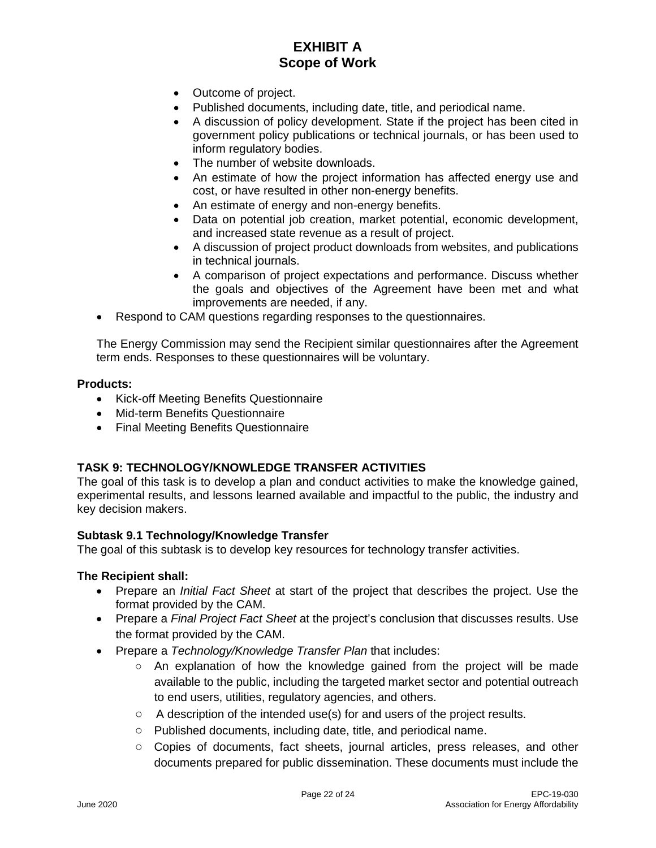- Outcome of project.
- Published documents, including date, title, and periodical name.
- A discussion of policy development. State if the project has been cited in government policy publications or technical journals, or has been used to inform regulatory bodies.
- The number of website downloads.
- An estimate of how the project information has affected energy use and cost, or have resulted in other non-energy benefits.
- An estimate of energy and non-energy benefits.
- Data on potential job creation, market potential, economic development, and increased state revenue as a result of project.
- A discussion of project product downloads from websites, and publications in technical journals.
- A comparison of project expectations and performance. Discuss whether the goals and objectives of the Agreement have been met and what improvements are needed, if any.
- Respond to CAM questions regarding responses to the questionnaires.

The Energy Commission may send the Recipient similar questionnaires after the Agreement term ends. Responses to these questionnaires will be voluntary.

#### **Products:**

- Kick-off Meeting Benefits Questionnaire
- Mid-term Benefits Questionnaire
- Final Meeting Benefits Questionnaire

# **TASK 9: TECHNOLOGY/KNOWLEDGE TRANSFER ACTIVITIES**

The goal of this task is to develop a plan and conduct activities to make the knowledge gained, experimental results, and lessons learned available and impactful to the public, the industry and key decision makers.

#### **Subtask 9.1 Technology/Knowledge Transfer**

The goal of this subtask is to develop key resources for technology transfer activities.

- Prepare an *Initial Fact Sheet* at start of the project that describes the project. Use the format provided by the CAM.
- Prepare a *Final Project Fact Sheet* at the project's conclusion that discusses results. Use the format provided by the CAM.
- Prepare a *Technology/Knowledge Transfer Plan* that includes:
	- An explanation of how the knowledge gained from the project will be made available to the public, including the targeted market sector and potential outreach to end users, utilities, regulatory agencies, and others.
	- A description of the intended use(s) for and users of the project results.
	- Published documents, including date, title, and periodical name.
	- Copies of documents, fact sheets, journal articles, press releases, and other documents prepared for public dissemination. These documents must include the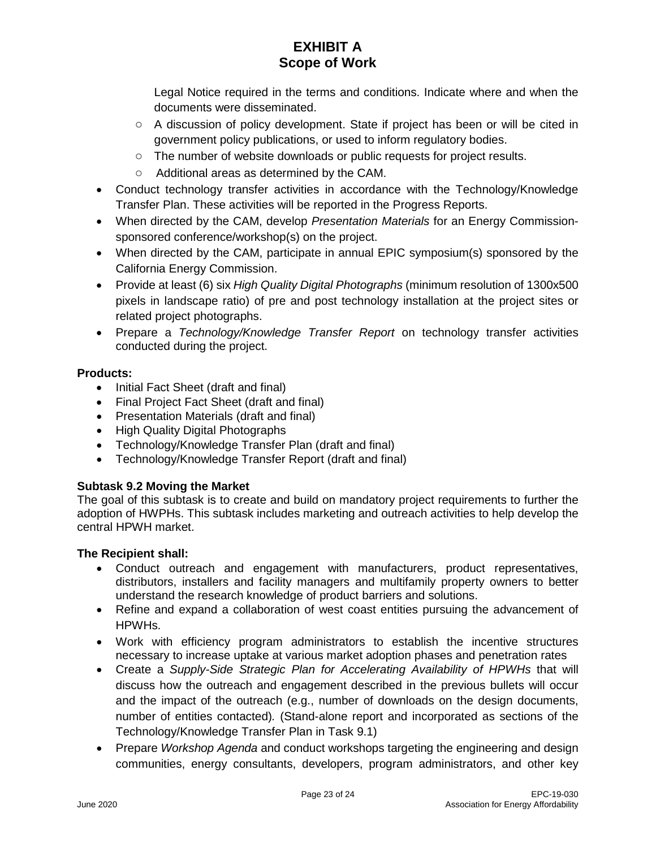Legal Notice required in the terms and conditions. Indicate where and when the documents were disseminated.

- A discussion of policy development. State if project has been or will be cited in government policy publications, or used to inform regulatory bodies.
- The number of website downloads or public requests for project results.
- Additional areas as determined by the CAM.
- Conduct technology transfer activities in accordance with the Technology/Knowledge Transfer Plan. These activities will be reported in the Progress Reports.
- When directed by the CAM, develop *Presentation Materials* for an Energy Commissionsponsored conference/workshop(s) on the project.
- When directed by the CAM, participate in annual EPIC symposium(s) sponsored by the California Energy Commission.
- Provide at least (6) six *High Quality Digital Photographs* (minimum resolution of 1300x500 pixels in landscape ratio) of pre and post technology installation at the project sites or related project photographs.
- Prepare a *Technology/Knowledge Transfer Report* on technology transfer activities conducted during the project.

# **Products:**

- Initial Fact Sheet (draft and final)
- Final Project Fact Sheet (draft and final)
- Presentation Materials (draft and final)
- High Quality Digital Photographs
- Technology/Knowledge Transfer Plan (draft and final)
- Technology/Knowledge Transfer Report (draft and final)

# **Subtask 9.2 Moving the Market**

The goal of this subtask is to create and build on mandatory project requirements to further the adoption of HWPHs. This subtask includes marketing and outreach activities to help develop the central HPWH market.

- Conduct outreach and engagement with manufacturers, product representatives, distributors, installers and facility managers and multifamily property owners to better understand the research knowledge of product barriers and solutions.
- Refine and expand a collaboration of west coast entities pursuing the advancement of HPWHs.
- Work with efficiency program administrators to establish the incentive structures necessary to increase uptake at various market adoption phases and penetration rates
- Create a *Supply-Side Strategic Plan for Accelerating Availability of HPWHs* that will discuss how the outreach and engagement described in the previous bullets will occur and the impact of the outreach (e.g., number of downloads on the design documents, number of entities contacted)*.* (Stand-alone report and incorporated as sections of the Technology/Knowledge Transfer Plan in Task 9.1)
- Prepare *Workshop Agenda* and conduct workshops targeting the engineering and design communities, energy consultants, developers, program administrators, and other key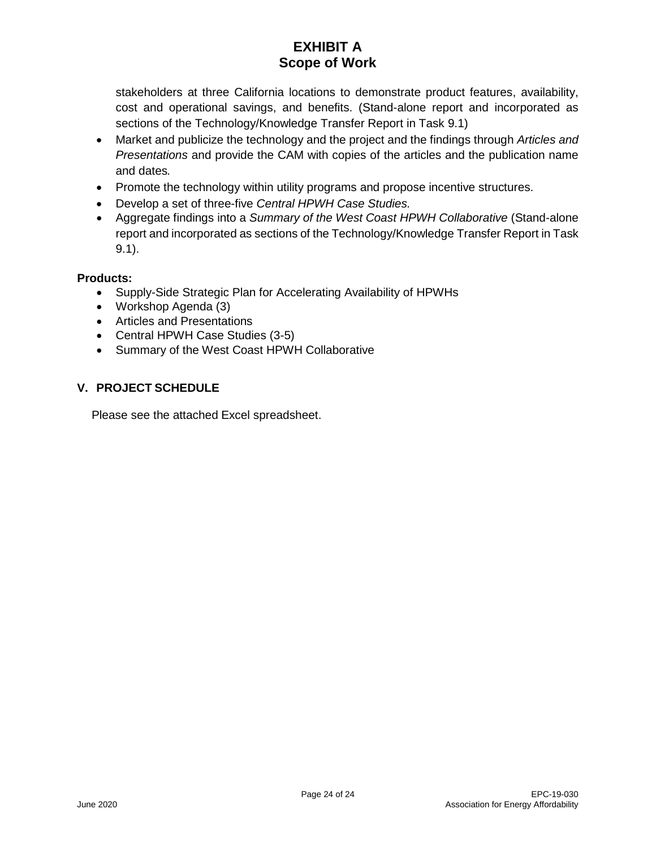stakeholders at three California locations to demonstrate product features, availability, cost and operational savings, and benefits. (Stand-alone report and incorporated as sections of the Technology/Knowledge Transfer Report in Task 9.1)

- Market and publicize the technology and the project and the findings through *Articles and Presentations* and provide the CAM with copies of the articles and the publication name and dates*.*
- Promote the technology within utility programs and propose incentive structures.
- Develop a set of three-five *Central HPWH Case Studies.*
- Aggregate findings into a *Summary of the West Coast HPWH Collaborative* (Stand-alone report and incorporated as sections of the Technology/Knowledge Transfer Report in Task 9.1).

# **Products:**

- Supply-Side Strategic Plan for Accelerating Availability of HPWHs
- Workshop Agenda (3)
- Articles and Presentations
- Central HPWH Case Studies (3-5)
- Summary of the West Coast HPWH Collaborative

# **V. PROJECT SCHEDULE**

Please see the attached Excel spreadsheet.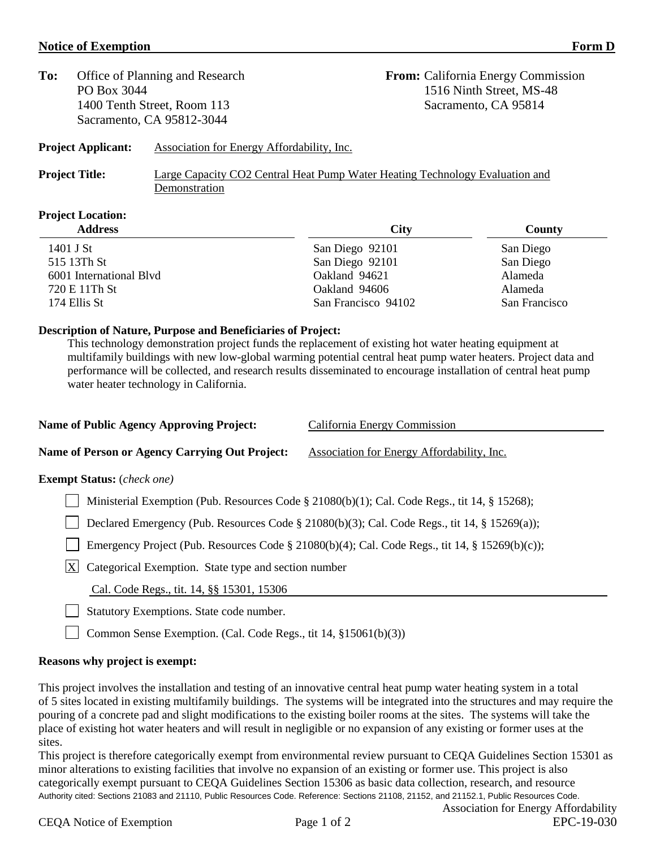### **Notice of Exemption** Form D

| To: | Office of Planning and Research |
|-----|---------------------------------|
|     | PO Box 3044                     |
|     | 1400 Tenth Street, Room 113     |
|     | Sacramento, CA 95812-3044       |
|     |                                 |

**From:** California Energy Commission 1516 Ninth Street, MS-48 Sacramento, CA 95814

# **Project Applicant:** Association for Energy Affordability, Inc.

**Project Title:** Large Capacity CO2 Central Heat Pump Water Heating Technology Evaluation and Demonstration

# **Project Location:**

| <b>Address</b>          | <b>City</b>         | County        |
|-------------------------|---------------------|---------------|
| 1401 J St               | San Diego 92101     | San Diego     |
| 515 13Th St             | San Diego 92101     | San Diego     |
| 6001 International Blvd | Oakland 94621       | Alameda       |
| 720 E 11Th St           | Oakland 94606       | Alameda       |
| 174 Ellis St            | San Francisco 94102 | San Francisco |

# **Description of Nature, Purpose and Beneficiaries of Project:**

This technology demonstration project funds the replacement of existing hot water heating equipment at multifamily buildings with new low-global warming potential central heat pump water heaters. Project data and performance will be collected, and research results disseminated to encourage installation of central heat pump water heater technology in California.

| <b>Name of Public Agency Approving Project:</b>           | California Energy Commission                                                                   |  |
|-----------------------------------------------------------|------------------------------------------------------------------------------------------------|--|
| Name of Person or Agency Carrying Out Project:            | Association for Energy Affordability, Inc.                                                     |  |
| <b>Exempt Status:</b> ( <i>check one</i> )                |                                                                                                |  |
|                                                           | Ministerial Exemption (Pub. Resources Code § 21080(b)(1); Cal. Code Regs., tit 14, § 15268);   |  |
|                                                           | Declared Emergency (Pub. Resources Code § 21080(b)(3); Cal. Code Regs., tit 14, § 15269(a));   |  |
|                                                           | Emergency Project (Pub. Resources Code § 21080(b)(4); Cal. Code Regs., tit 14, § 15269(b)(c)); |  |
| X<br>Categorical Exemption. State type and section number |                                                                                                |  |
| Cal. Code Regs., tit. 14, §§ 15301, 15306                 |                                                                                                |  |
| Statutory Exemptions. State code number.                  |                                                                                                |  |

Common Sense Exemption. (Cal. Code Regs., tit 14,  $\S 15061(b)(3)$ )

# **Reasons why project is exempt:**

This project involves the installation and testing of an innovative central heat pump water heating system in a total of 5 sites located in existing multifamily buildings. The systems will be integrated into the structures and may require the pouring of a concrete pad and slight modifications to the existing boiler rooms at the sites. The systems will take the place of existing hot water heaters and will result in negligible or no expansion of any existing or former uses at the sites.

Authority cited: Sections 21083 and 21110, Public Resources Code. Reference: Sections 21108, 21152, and 21152.1, Public Resources Code. This project is therefore categorically exempt from environmental review pursuant to CEQA Guidelines Section 15301 as minor alterations to existing facilities that involve no expansion of an existing or former use. This project is also categorically exempt pursuant to CEQA Guidelines Section 15306 as basic data collection, research, and resource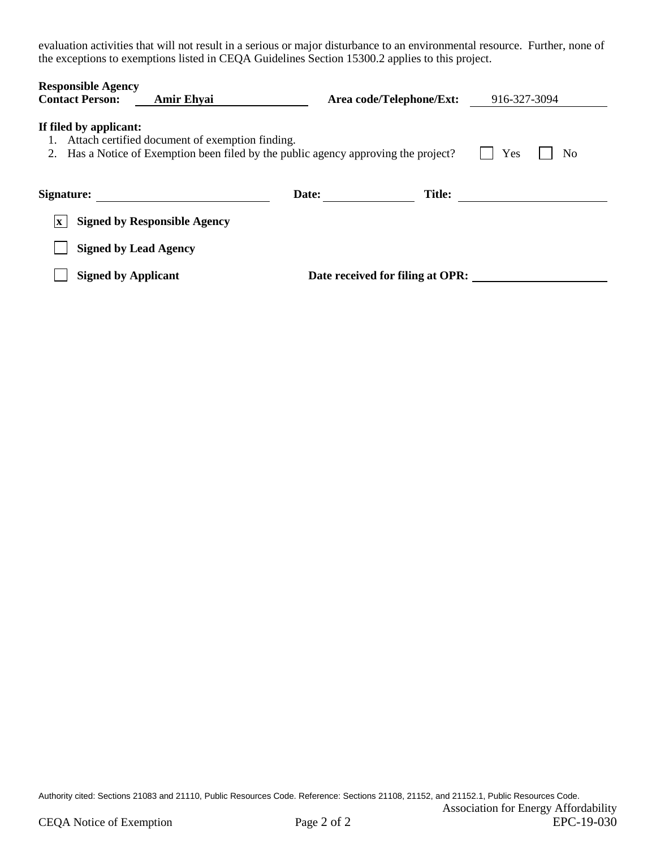evaluation activities that will not result in a serious or major disturbance to an environmental resource. Further, none of the exceptions to exemptions listed in CEQA Guidelines Section 15300.2 applies to this project.

| <b>Responsible Agency</b><br><b>Contact Person:</b><br><b>Amir Ehyai</b>                                                                                            | Area code/Telephone/Ext:         | 916-327-3094  |  |
|---------------------------------------------------------------------------------------------------------------------------------------------------------------------|----------------------------------|---------------|--|
| If filed by applicant:<br>Attach certified document of exemption finding.<br>Has a Notice of Exemption been filed by the public agency approving the project?<br>2. |                                  | Yes<br>No     |  |
| Signature:                                                                                                                                                          | Date:                            | <b>Title:</b> |  |
| <b>Signed by Responsible Agency</b><br>$\mathbf{X}$                                                                                                                 |                                  |               |  |
| <b>Signed by Lead Agency</b>                                                                                                                                        |                                  |               |  |
| <b>Signed by Applicant</b>                                                                                                                                          | Date received for filing at OPR: |               |  |